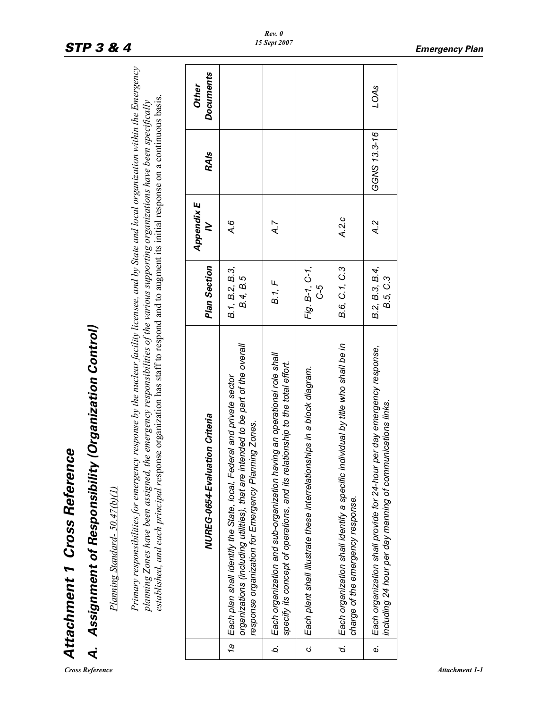| È<br>ì      |
|-------------|
| 7           |
|             |
| 1           |
|             |
| Š<br>i<br>ņ |
| ļ           |
| Ï           |
|             |
|             |
|             |
|             |
|             |
| ٦           |
|             |
|             |
|             |
|             |
|             |

 $Cross$  *Reference* 

# Assignment of Responsibility (Organization Control) *A. Assignment of Responsibility (Organization Control)* दं

Plaming Standard- 50.47(b)(1) *Planning Standard- 50.47(b)(1)*

Primary responsibilities for emergency response by the nuclear facility licensee, and by State and local organization within the Emergency Primary responsibilities for emergency response by the nuclear facility licensee, and by State and local organization within the Emergency planning Zones have been assigned, the emergency responsibilities of the various supporting organizations have been specifically<br>established, and each principal response organization has staff to respond and to augment its *established, and each principal re*sponse organization has staff to respond and to augment its initial response on a continuous basis. plaming Zones have been assigned, the emergency responsibilities of the various supporting organizations have been specifically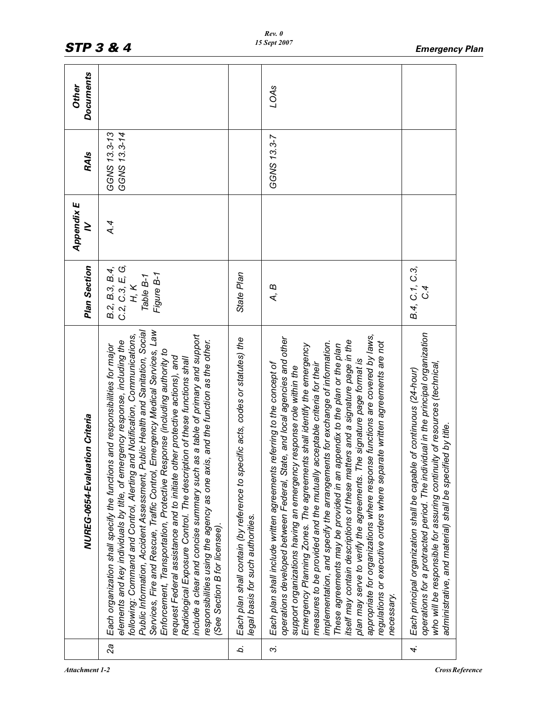|    | NUREG-0654-Evaluation Criteria                                                                                                                                                                                                                                                                                                                                                                                                                                                                                                                                                                                                                                                                                                                                                                                                                                          | Plan Section                                                         | Appendix E<br>≥ | <b>RAIs</b>                  | <b>Documents</b><br><b>Other</b> |
|----|-------------------------------------------------------------------------------------------------------------------------------------------------------------------------------------------------------------------------------------------------------------------------------------------------------------------------------------------------------------------------------------------------------------------------------------------------------------------------------------------------------------------------------------------------------------------------------------------------------------------------------------------------------------------------------------------------------------------------------------------------------------------------------------------------------------------------------------------------------------------------|----------------------------------------------------------------------|-----------------|------------------------------|----------------------------------|
| 2a | Services, Fire and Rescue, Traffic Control, Emergency Medical Services, Law<br>Public Information, Accident Assessment, Public Health and Sanitation, Social<br>as a table of primary and support<br>following: Command and Control, Alerting and Notification, Communications,<br>elements and key individuals by title, of emergency response, including the<br>responsibilities using the agency as one axis, and the function as the other.<br>s and responsibilities for major<br>Enforcement, Transportation, Protective Response (including authority to<br>request Federal assistance and to initiate other protective actions), and<br>Radiological Exposure Control. The description of these functions shall<br>Each organization shall specify the function<br>include a clear and concise summary such<br>(See Section B for licensee).                    | C.2, C.3, E, G,<br>B.2, B.3, B.4,<br>Figure B-1<br>Table B-1<br>H, K | A.4             | GGNS 13.3-13<br>GGNS 13.3-14 |                                  |
| b. | Each plan shall contain (by reference to specific acts, codes or statutes) the<br>legal basis for such authorities.                                                                                                                                                                                                                                                                                                                                                                                                                                                                                                                                                                                                                                                                                                                                                     | State Plan                                                           |                 |                              |                                  |
| က  | appropriate for organizations where response functions are covered by laws,<br>operations developed between Federal, State, and local agencies and other<br>itself may contain descriptions of these matters and a signature page in the<br>implementation, and specify the arrangements for exchange of information.<br>regulations or executive orders where separate written agreements are not<br>Emergency Planning Zones. The agreements shall identify the emergency<br>These agreements may be provided in an appendix to the plan or the plan<br>plan may serve to verify the agreements. The signature page format is<br>Each plan shall include written agreements referring to the concept of<br>measures to be provided and the mutually acceptable criteria for their<br>support organizations having an emergency response role within the<br>necessary. | A, B                                                                 |                 | GGNS 13.3-7                  | LOAS                             |
| 4. | operations for a protracted period. The individual in the principal organization<br>who will be responsible for assuring continuity of resources (technical,<br>Each principal organization shall be capable of continuous (24-hour)<br>administrative, and material) shall be specified by title.                                                                                                                                                                                                                                                                                                                                                                                                                                                                                                                                                                      | B.4, C.1, C.3,                                                       |                 |                              |                                  |

*Rev. 0 15 Sept 2007*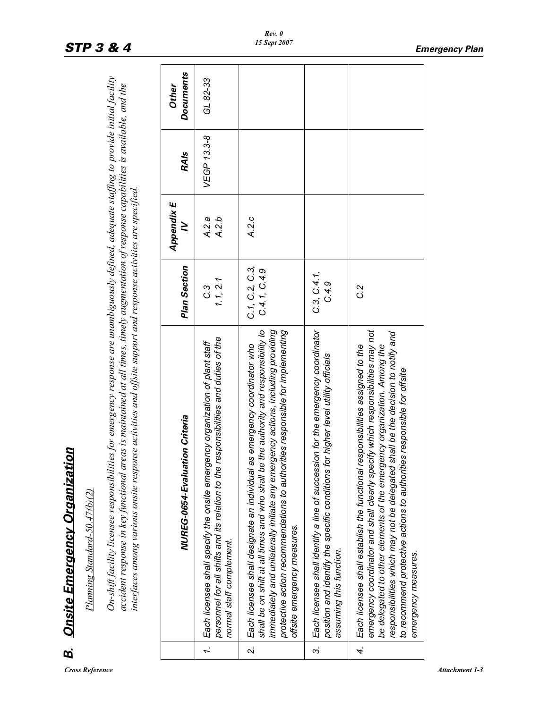| Ī |
|---|
| ì |
| í |
| Ž |
| ï |
| ١ |
|   |
|   |
|   |
|   |
| J |
| I |
|   |
|   |
|   |
|   |
|   |
|   |

| B.                       | Onsite Emergency Organization                                                                                                                                                                                                                                                                                                                                                                                                    |                               |                 |             |                           |
|--------------------------|----------------------------------------------------------------------------------------------------------------------------------------------------------------------------------------------------------------------------------------------------------------------------------------------------------------------------------------------------------------------------------------------------------------------------------|-------------------------------|-----------------|-------------|---------------------------|
|                          | Planning Standard-50.47(b)(2)                                                                                                                                                                                                                                                                                                                                                                                                    |                               |                 |             |                           |
|                          | On-shift facility licensee responsibilities for emergency response are unambiguously defined, adequate staffing to provide initial facility<br>accident response in key functional areas is maintained at all times, timely augmentation of response capabilities is available, and the<br>interfaces among various onsite response activities and offsite support and response activities are specified.                        |                               |                 |             |                           |
|                          | NUREG-0654-Evaluation Criteria                                                                                                                                                                                                                                                                                                                                                                                                   | Plan Section                  | Appendix E<br>≥ | <b>RAIs</b> | <b>Documents</b><br>Other |
|                          | responsibilities and duties of the<br>Each licensee shall specify the onsite emergency organization of plant staff<br>personnel for all shifts and its relation to the<br>normal staff complement.<br>$\overline{r}$                                                                                                                                                                                                             | 1.1, 2.1<br>C.3               | A.2.b<br>A.2a   | VEGP 13.3-8 | GL 82-33                  |
| $\overline{\mathcal{L}}$ | shall be on shift at all times and who shall be the authority and responsibility to<br>immediately and unilaterally initiate any emergency actions, including providing<br>protective action recommendations to authorities responsible for implementing<br>as emergency coordinator who<br>Each licensee shall designate an individual<br>offsite emergency measures.                                                           | C.1, C.2, C.3<br>C.4.1, C.4.9 | A.2.c           |             |                           |
| ကဲ                       | Each licensee shall identify a line of succession for the emergency coordinator<br>position and identify the specific conditions for higher level utility officials<br>assuming this function.                                                                                                                                                                                                                                   | C.3, C.4.1,<br>C.4.9          |                 |             |                           |
| 4.                       | emergency coordinator and shall clearly specify which responsibilities may not<br>responsibilities which may not be delegated shall be the decision to notify and<br>responsibilities assigned to the<br>be delegated to other elements of the emergency organization. Among the<br>to recommend protective actions to authorities responsible for offsite<br>Each licensee shall establish the functional<br>emergency measures | C.2                           |                 |             |                           |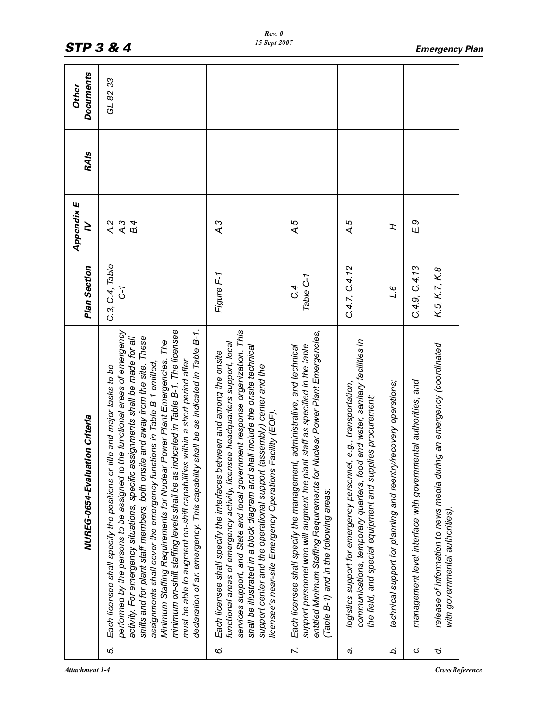|               | NUREG-0654-Evaluation Criteria                                                                                                                                                                                                                                                                                                                                                                                                                                                                                                                                                                                                                                                                                                        | Plan Section           | <b>Appendix E</b><br>$\geq$       | <b>RAIs</b> | <b>Documents</b><br><b>Other</b> |
|---------------|---------------------------------------------------------------------------------------------------------------------------------------------------------------------------------------------------------------------------------------------------------------------------------------------------------------------------------------------------------------------------------------------------------------------------------------------------------------------------------------------------------------------------------------------------------------------------------------------------------------------------------------------------------------------------------------------------------------------------------------|------------------------|-----------------------------------|-------------|----------------------------------|
| 5.            | Minimum Staffing Requirements for Nuclear Power Plant Emergencies. The<br>minimum on-shift staffing levels shall be as indicated in Table B-1. The licensee<br>declaration of an emergency. This capability shall be as indicated in Table B-1.<br>performed by the persons to be assigned to the functional areas of emergency<br>shifts and for plant staff members, both onsite and away from the site. These<br>activity. For emergency situations, specific assignments shall be made for all<br>must be able to augment on-shift capabilities within a short period after<br>assignments shall cover the emergency functions in Table B-1 entitled,<br>Each licensee shall specify the positions or title and major tasks to be | C.3, C.4, Table<br>5-1 | A.3<br>$\lambda$ .2<br><b>B.4</b> |             | GL 82-33                         |
| 6.            | services support, and State and local government response organization. This<br>functional areas of emergency activity, licensee headquarters support, local<br>shall be illustrated in a block diagram and shall include the onsite technical<br>Each licensee shall specify the interfaces between and among the onsite<br>support center and the operational support (assembly) center and the<br>licensee's near-site Emergency Operations Facility (EOF).                                                                                                                                                                                                                                                                        | Figure F-1             | ر<br>به                           |             |                                  |
| $\ddot{\sim}$ | entitled Minimum Staffing Requirements for Nuclear Power Plant Emergencies,<br>support personnel who will augment the plant staff as specified in the table<br>administrative, and technical<br>Each licensee shall specify the management,<br>(Table B-1) and in the following areas:                                                                                                                                                                                                                                                                                                                                                                                                                                                | Table C-1<br>C.4       | $\overline{A}$ .5                 |             |                                  |
| c.            | and water, sanitary facilities in<br>e.g., transportation,<br>the field, and special equipment and supplies procurement;<br>logistics support for emergency personnel,<br>communications, temporary quarters, food                                                                                                                                                                                                                                                                                                                                                                                                                                                                                                                    | C.4.7, C.4.12          | $\overline{A}$ .5                 |             |                                  |
| à.            | technical support for planning and reentry/recovery operations;                                                                                                                                                                                                                                                                                                                                                                                                                                                                                                                                                                                                                                                                       | ه ر<br>ا               | I                                 |             |                                  |
| ن.            | management level interface with governmental authorities, and                                                                                                                                                                                                                                                                                                                                                                                                                                                                                                                                                                                                                                                                         | C.4.9, C.4.13          | E 9                               |             |                                  |
| d.            | release of information to news media during an emergency (coordinated<br>with governmental authorities).                                                                                                                                                                                                                                                                                                                                                                                                                                                                                                                                                                                                                              | K.5, K.7, K.8          |                                   |             |                                  |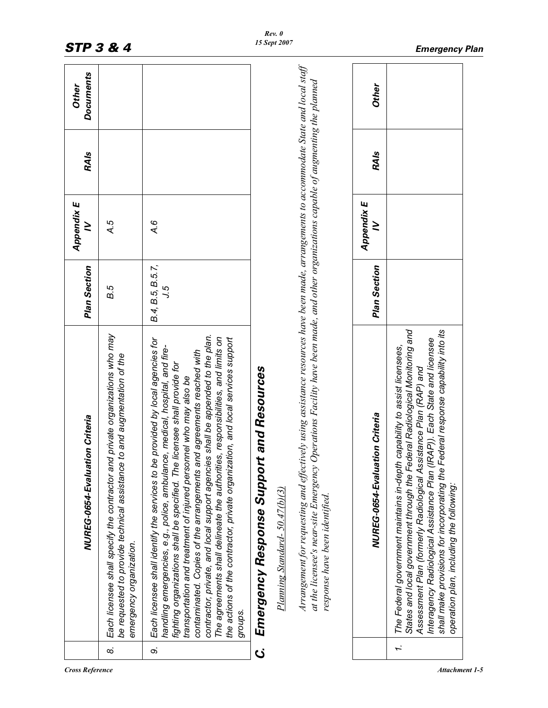|          | NUREG-0654-Evaluation Criteria                                                                                                                                                                                                                                                                                                                                                                                                                                                                                                                                                                                                                                   | Plan Section            | Appendix E<br>≥ | <b>RAIs</b> | <b>Documents</b><br><b>Other</b> |
|----------|------------------------------------------------------------------------------------------------------------------------------------------------------------------------------------------------------------------------------------------------------------------------------------------------------------------------------------------------------------------------------------------------------------------------------------------------------------------------------------------------------------------------------------------------------------------------------------------------------------------------------------------------------------------|-------------------------|-----------------|-------------|----------------------------------|
| $\infty$ | Each licensee shall specify the contractor and private organizations who may<br>to and augmentation of the<br>be requested to provide technical assistance<br>emergency organization.                                                                                                                                                                                                                                                                                                                                                                                                                                                                            | В.5                     | 4.5             |             |                                  |
| တဲ       | contractor, private, and local support agencies shall be appended to the plan.<br>The agreements shall delineate the authorities, responsibilities, and limits on<br>the actions of the contractor, private organization, and local services support<br>provided by local agencies for<br>handling emergencies, e.g., police, ambulance, medical, hospital, and fire-<br>contaminated. Copies of the arrangements and agreements reached with<br>licensee shall provide for<br>transportation and treatment of injured personnel who may also be<br>Each licensee shall identify the services to be<br>fighting organizations shall be specified. The<br>groups. | B.4, B.5, B.5.7,<br>5.ر | A.6             |             |                                  |
| ن<br>ن   | <b>Emergency Response Support and Resources</b>                                                                                                                                                                                                                                                                                                                                                                                                                                                                                                                                                                                                                  |                         |                 |             |                                  |
|          | $Planning$ Standard- $50.47(b)(3)$                                                                                                                                                                                                                                                                                                                                                                                                                                                                                                                                                                                                                               |                         |                 |             |                                  |
|          | Arrangement for requesting and effectively using assistance resources have been made, arrangements to accommodate State and local staff<br>at the licensee's near-site Emergency Operations Facility have been made, and other organizations capable of augmenting the planned<br>response have been identified.                                                                                                                                                                                                                                                                                                                                                 |                         |                 |             |                                  |
|          | NUREG-0654-Evaluation Criteria                                                                                                                                                                                                                                                                                                                                                                                                                                                                                                                                                                                                                                   | Plan Section            | Appendix E<br>≥ | <b>RAIs</b> | <b>Other</b>                     |
| I.       | States and local government through the Federal Radiological Monitoring and<br>shall make provisions for incorporating the Federal response capability into its<br>Interagency Radiological Assistance Plan (IRAP)). Each State and licensee<br>The Federal government maintains in-depth capability to assist licensees,<br>Assessment Plan (formerly Radiological Assistance Plan (RAP) and<br>operation plan, including the following:                                                                                                                                                                                                                        |                         |                 |             |                                  |

*Cross Reference* Attachment 1-5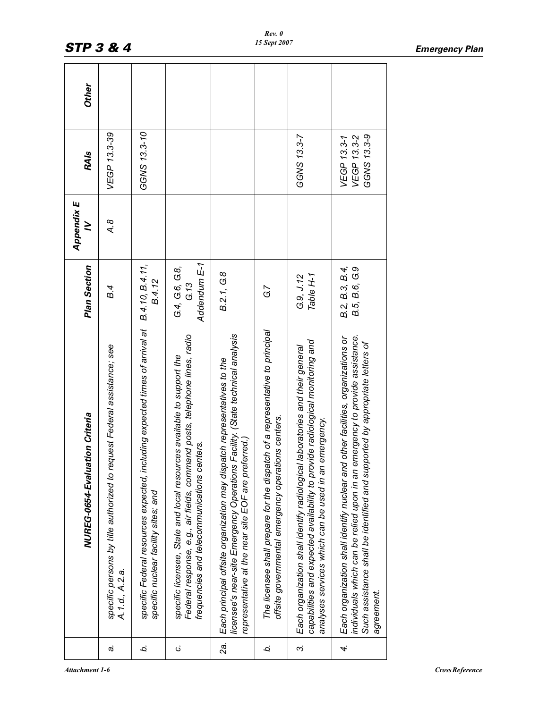| Other<br><b>RAIs</b>           | VEGP 13.3-39                                                                              | GGNS 13.3-10                                                                                                        |                                                                                                                                                                                                   |                                                                                                                                                                                                                 |                                                                                                                                    | GGNS 13.3-7                                                                                                                                                                                                              | GGNS 13.3-9<br>VEGP 13.3-2<br>VEGP 13.3-1                                                                                                                                                                                                                   |
|--------------------------------|-------------------------------------------------------------------------------------------|---------------------------------------------------------------------------------------------------------------------|---------------------------------------------------------------------------------------------------------------------------------------------------------------------------------------------------|-----------------------------------------------------------------------------------------------------------------------------------------------------------------------------------------------------------------|------------------------------------------------------------------------------------------------------------------------------------|--------------------------------------------------------------------------------------------------------------------------------------------------------------------------------------------------------------------------|-------------------------------------------------------------------------------------------------------------------------------------------------------------------------------------------------------------------------------------------------------------|
| ≥                              | $\mathcal{A}$ .8                                                                          |                                                                                                                     |                                                                                                                                                                                                   |                                                                                                                                                                                                                 |                                                                                                                                    |                                                                                                                                                                                                                          |                                                                                                                                                                                                                                                             |
| Plan Section                   | <b>B.4</b>                                                                                | B.4.10, B.4.11,<br><b>B.4.12</b>                                                                                    | Addendum E-1<br>G4, G6, G8,<br>G.13                                                                                                                                                               | B.2.1, G.8                                                                                                                                                                                                      | G7                                                                                                                                 | Table H-1<br>G.9, J.12                                                                                                                                                                                                   | B.2, B.3, B.4,<br>B.5, B.6, G.9                                                                                                                                                                                                                             |
| NUREG-0654-Evaluation Criteria | specific persons by title authorized to request Federal assistance; see<br>A.1.d., A.2.a. | specific Federal resources expected, including expected times of arrival at<br>specific nuclear facility sites; and | Federal response, e.g., air fields, command posts, telephone lines, radio<br>specific licensee, State and local resources available to support the<br>frequencies and telecommunications centers. | licensee's near-site Emergency Operations Facility. (State technical analysis<br>Each principal offsite organization may dispatch representatives to the<br>representative at the near site EOF are preferred.) | The licensee shall prepare for the dispatch of a representative to principal<br>offsite governmental emergency operations centers. | capabilities and expected availability to provide radiological monitoring and<br>Each organization shall identify radiological laboratories and their general<br>emergency.<br>analyses services which can be used in an | Each organization shall identify nuclear and other facilities, organizations or<br>individuals which can be relied upon in an emergency to provide assistance.<br>Such assistance shall be identified and supported by appropriate letters of<br>agreement. |
|                                | c.                                                                                        | b.                                                                                                                  | ن                                                                                                                                                                                                 | 2a.                                                                                                                                                                                                             | Ċ.                                                                                                                                 | ကဲ                                                                                                                                                                                                                       | 4.                                                                                                                                                                                                                                                          |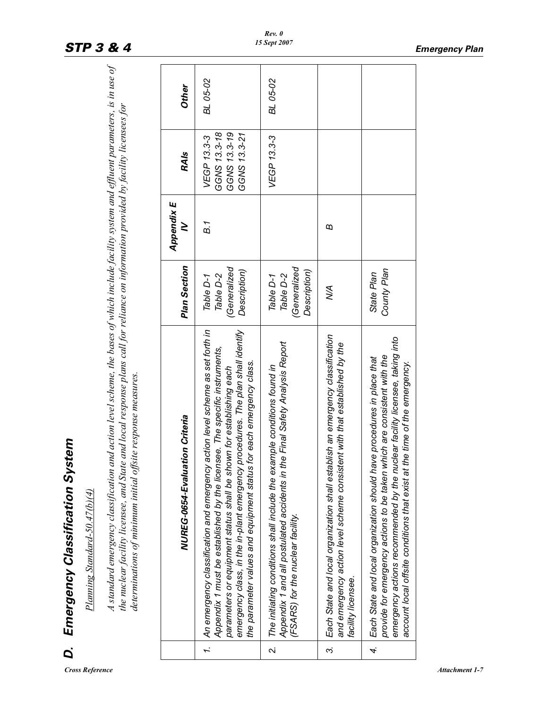| ٠      |
|--------|
|        |
|        |
|        |
|        |
| ì      |
| J<br>ı |
|        |
|        |
| J      |
| ١      |
|        |
|        |
|        |
| ì      |
|        |
|        |
|        |
| į      |
|        |
| ř      |
| 7      |
|        |
|        |
|        |
| I      |
|        |
|        |
|        |
|        |
| r      |

| Ö.                      | Emergency Classification System<br>Planning Standard-50.47(b)(4)                                                                                                                                                                                                                                                                                                                           |                                                         |                 |                                                             |          |  |
|-------------------------|--------------------------------------------------------------------------------------------------------------------------------------------------------------------------------------------------------------------------------------------------------------------------------------------------------------------------------------------------------------------------------------------|---------------------------------------------------------|-----------------|-------------------------------------------------------------|----------|--|
|                         | A standard emergency classification and action level scheme, the bases of which include facility system and effluent parameters, is in use of<br>the nuclear facility licensee, and State and local response plans call for reliance on information provided by facility licensees for<br>determinations of minimum initial offsite response measures.                                     |                                                         |                 |                                                             |          |  |
|                         | NUREG-0654-Evaluation Criteria                                                                                                                                                                                                                                                                                                                                                             | Plan Section                                            | Appendix E<br>≥ | <b>RAIs</b>                                                 | Other    |  |
| 1.                      | emergency class, in the in-plant emergency procedures. The plan shall identify<br>An emergency classification and emergency action level scheme as set forth in<br>Appendix 1 must be established by the licensee. The specific instruments,<br>the parameter values and equipment status for each emergency class.<br>parameters or equipment status shall be shown for establishing each | (Generalized)<br>Description)<br>Table D-2<br>Table D-1 | <b>B.1</b>      | GGNS 13.3-18<br>GGNS 13.3-19<br>GGNS 13.3-21<br>VEGP 13.3-3 | BL 05-02 |  |
| $\overline{\mathbf{v}}$ | Appendix 1 and all postulated accidents in the Final Safety Analysis Report<br>The initiating conditions shall include the example conditions found in<br>(FSARS) for the nuclear facility.                                                                                                                                                                                                | (Generalized)<br>Description)<br>Table D-2<br>Table D-1 |                 | VEGP 13.3-3                                                 | BL 05-02 |  |
| $\vec{3}$               | Each State and local organization shall establish an emergency classification<br>and emergency action level scheme consistent with that established by the<br>facility licensee.                                                                                                                                                                                                           | Š                                                       | €               |                                                             |          |  |
| 4.                      | emergency actions recommended by the nuclear facility licensee, taking into<br>provide for emergency actions to be taken which are consistent with the<br>Each State and local organization should have procedures in place that<br>account local offsite conditions that exist at the time of the emergency.                                                                              | County Plan<br>State Plan                               |                 |                                                             |          |  |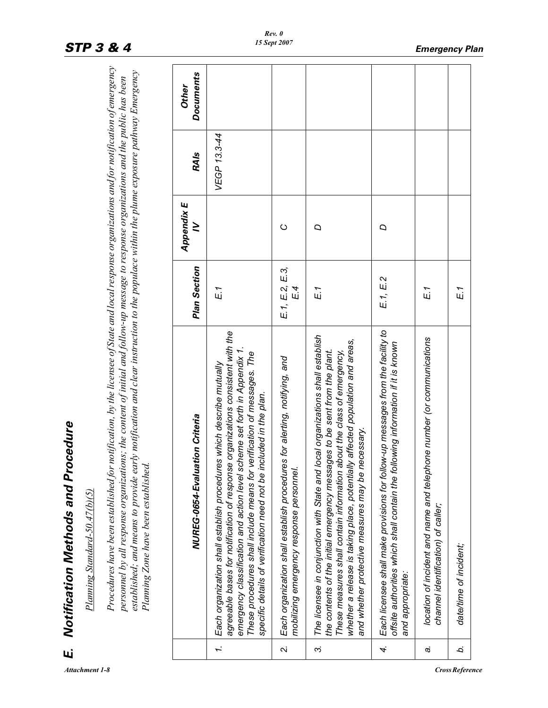| Í                |
|------------------|
| i<br>ċ           |
| Ï                |
| л<br>l<br>٠<br>ï |

| Щi           | Notification Methods and Procedure                                                                                                                                                                                                                                                                                                                                                                                                                                         |                       |                 |              |                           |
|--------------|----------------------------------------------------------------------------------------------------------------------------------------------------------------------------------------------------------------------------------------------------------------------------------------------------------------------------------------------------------------------------------------------------------------------------------------------------------------------------|-----------------------|-----------------|--------------|---------------------------|
|              | Planning Standard-50.47(b)(5)                                                                                                                                                                                                                                                                                                                                                                                                                                              |                       |                 |              |                           |
|              | Procedures have been established for notification, by the licensee of State and local response organizations and for notification of emergency<br>established; and means to provide early notification and clear instruction to the populace within the plume exposure pathway Emergency<br>personnel by all response organizations; the content of initial and follow-up message to response organizations and the public has been<br>Planning Zone have been established |                       |                 |              |                           |
|              | NUREG-0654-Evaluation Criteria                                                                                                                                                                                                                                                                                                                                                                                                                                             | Plan Section          | Appendix E<br>≥ | <b>RAIs</b>  | <b>Documents</b><br>Other |
| Ĩ.           | agreeable bases for notification of response organizations consistent with the<br>emergency classification and action level scheme set forth in Appendix 1.<br>These procedures shall include means for verification of messages. The<br>Each organization shall establish procedures which describe mutually<br>specific details of verification need not be included in the plan.                                                                                        | E.1                   |                 | VEGP 13.3-44 |                           |
| $\mathbf{N}$ | Each organization shall establish procedures for alerting, notifying, and<br>mobilizing emergency response personnel.                                                                                                                                                                                                                                                                                                                                                      | E.1, E.2, E.3,<br>E 4 | O               |              |                           |
| ω,           | The licensee in conjunction with State and local organizations shall establish<br>whether a release is taking place, potentially affected population and areas,<br>the contents of the initial emergency messages to be sent from the plant.<br>These measures shall contain information about the class of emergency,<br>and whether protective measures may be necessary.                                                                                                | $E_1$                 | Q               |              |                           |
| 4.           | Each licensee shall make provisions for follow-up messages from the facility to<br>offsite authorities which shall contain the following information if it is known<br>and appropriate:                                                                                                                                                                                                                                                                                    | E.1, E.2              | D               |              |                           |
| c.           | location of incident and name and telephone number (or communications<br>channel identification) of caller;                                                                                                                                                                                                                                                                                                                                                                | E.1                   |                 |              |                           |
| ä.           | date/time of incident;                                                                                                                                                                                                                                                                                                                                                                                                                                                     | E.1                   |                 |              |                           |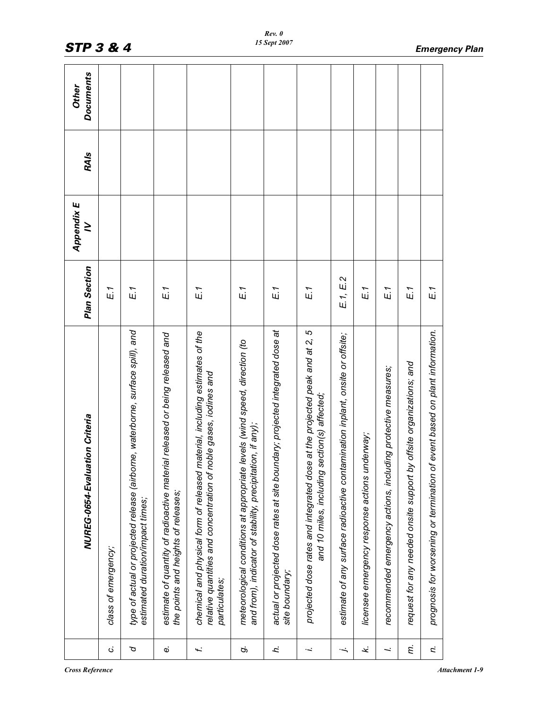|                      | NUREG-0654-Evaluation Criteria                                                                                                                                    | <b>Plan Section</b> | Appendix E<br>$\geq$ | <b>RAIs</b> | <b>Documents</b><br>Other |
|----------------------|-------------------------------------------------------------------------------------------------------------------------------------------------------------------|---------------------|----------------------|-------------|---------------------------|
| $\ddot{\circ}$       | class of emergency;                                                                                                                                               | E.1                 |                      |             |                           |
| ρ                    | type of actual or projected release (airborne, waterborne, surface spill), and<br>estimated duration/impact times;                                                | E.1                 |                      |             |                           |
| $\ddot{\omega}$      | estimate of quantity of radioactive material released or being released and<br>the points and heights of releases;                                                | E.1                 |                      |             |                           |
| f.                   | chemical and physical form of released material, including estimates of the<br>relative quantities and concentration of noble gases, iodines and<br>particulates; | E.1                 |                      |             |                           |
| Ġ                    | meteorological conditions at appropriate levels (wind speed, direction (to<br>and from), indicator of stability, precipitation, if any);                          | E.1                 |                      |             |                           |
| h.                   | actual or projected dose rates at site boundary; projected integrated dose at<br>site boundary;                                                                   | E.1                 |                      |             |                           |
| $\ddot{\phantom{0}}$ | at the projected peak and at 2, 5<br>and 10 miles, including section(s) affected;<br>projected dose rates and integrated dose                                     | E.1                 |                      |             |                           |
| $\ddot{}$            | estimate of any surface radioactive contamination inplant, onsite or offsite;                                                                                     | E1, E2              |                      |             |                           |
| k.                   | licensee emergency response actions underway;                                                                                                                     | $E_1$               |                      |             |                           |
| $\ddot{}$            | recommended emergency actions, including protective measures;                                                                                                     | E.1                 |                      |             |                           |
| Ę.                   | offsite organizations; and<br>request for any needed onsite support by                                                                                            | E.1                 |                      |             |                           |
| r.                   | event based on plant information.<br>prognosis for worsening or termination of                                                                                    | E1                  |                      |             |                           |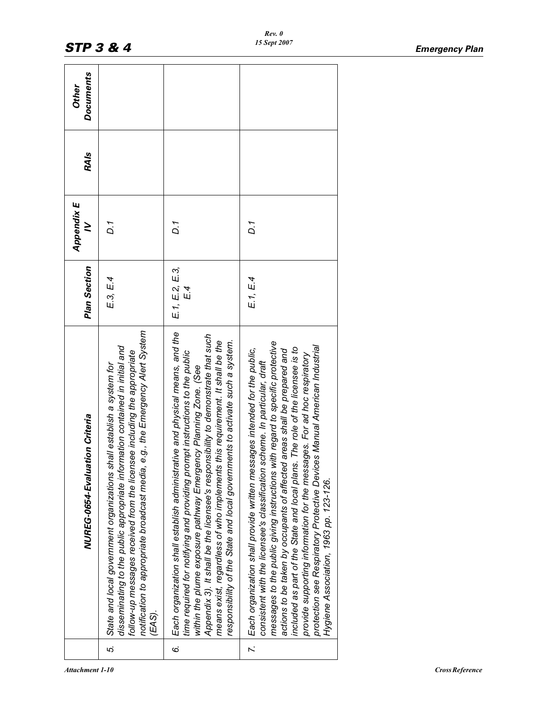|               | NUREG-0654-Evaluation Criteria                                                                                                                                                                                                                                                                                                                                                                                                                                                                                                                                                                               | Plan Section       | <b>Appendix E</b><br>≥ | <b>RAIs</b> | <b>Documents</b><br>Other |
|---------------|--------------------------------------------------------------------------------------------------------------------------------------------------------------------------------------------------------------------------------------------------------------------------------------------------------------------------------------------------------------------------------------------------------------------------------------------------------------------------------------------------------------------------------------------------------------------------------------------------------------|--------------------|------------------------|-------------|---------------------------|
| 5.            | e.g., the Emergency Alert System<br>disseminating to the public appropriate information contained in initial and<br>follow-up messages received from the licensee including the appropriate<br>State and local government organizations shall establish a system for<br>notification to appropriate broadcast media,<br>(EAS).                                                                                                                                                                                                                                                                               | E3, E4             | D.1                    |             |                           |
| 6.            | Each organization shall establish administrative and physical means, and the<br>Appendix 3). It shall be the licensee's responsibility to demonstrate that such<br>means exist, regardless of who implements this requirement. It shall be the<br>responsibility of the State and local governments to activate such a system.<br>time required for notifying and providing prompt instructions to the public<br>within the plume exposure pathway Emergency Planning Zone. (See                                                                                                                             | E1, E2, E3,<br>E 4 | D.1                    |             |                           |
| $\ddot{\sim}$ | messages to the public giving instructions with regard to specific protective<br>protection see Respiratory Protective Devices Manual American Industrial<br>The role of the licensee is to<br>Each organization shall provide written messages intended for the public,<br>areas shall be prepared and<br>provide supporting information for the messages. For ad hoc respiratory<br>consistent with the licensee's classification scheme. In particular, draft<br>included as part of the State and local plans.<br>actions to be taken by occupants of affected<br>Hygiene Association, 1963 pp. 123-126. | E1, E4             | D.1                    |             |                           |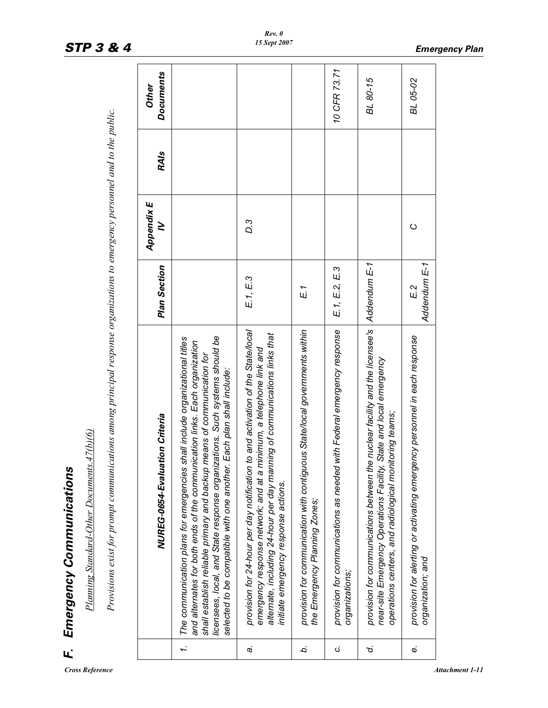|    | F. Emergency Communications                                                                                                                                                                                                                                                                                                                                                               |                     |                 |             |                                  |
|----|-------------------------------------------------------------------------------------------------------------------------------------------------------------------------------------------------------------------------------------------------------------------------------------------------------------------------------------------------------------------------------------------|---------------------|-----------------|-------------|----------------------------------|
|    | Planning Standard-Other Documents. 47(b)(6)                                                                                                                                                                                                                                                                                                                                               |                     |                 |             |                                  |
|    | Provisions exist for prompt communications among principal response organizations to emergency personnel and to the public.                                                                                                                                                                                                                                                               |                     |                 |             |                                  |
|    | NUREG-0654-Evaluation Criteria                                                                                                                                                                                                                                                                                                                                                            | Plan Section        | Appendix E<br>≥ | <b>RAIs</b> | <b>Documents</b><br><b>Other</b> |
| I. | licensees, local, and State response organizations. Such systems should be<br>The communication plans for emergencies shall include organizational titles<br>and alternates for both ends of the communication links. Each organization<br>shall establish reliable primary and backup means of communication for<br>selected to be compatible with one another. Each plan shall include: |                     |                 |             |                                  |
| c. | to and activation of the State/local<br>alternate, including 24-hour per day manning of communications links that<br>minimum, a telephone link and<br>provision for 24-hour per day notification<br>emergency response network; and at a<br>initiate emergency response actions.                                                                                                          | E.1, E.3            | D.3             |             |                                  |
| b. | provision for communication with contiguous State/local governments within<br>the Emergency Planning Zones;                                                                                                                                                                                                                                                                               | E.1                 |                 |             |                                  |
| Ċ, | with Federal emergency response<br>provision for communications as needed<br>organizations;                                                                                                                                                                                                                                                                                               | E1, E2, E3          |                 |             | 10 CFR 73.71                     |
| d. | e nuclear facility and the licensee's<br>State and local emergency<br>operations centers, and radiological monitoring teams;<br>provision for communications between th<br>near-site Emergency Operations Facility,                                                                                                                                                                       | Addendum E-1        |                 |             | BL 80-15                         |
| c. | provision for alerting or activating emergency personnel in each response<br>organization; and                                                                                                                                                                                                                                                                                            | Addendum E-1<br>E 2 | $\circ$         |             | BL 05-02                         |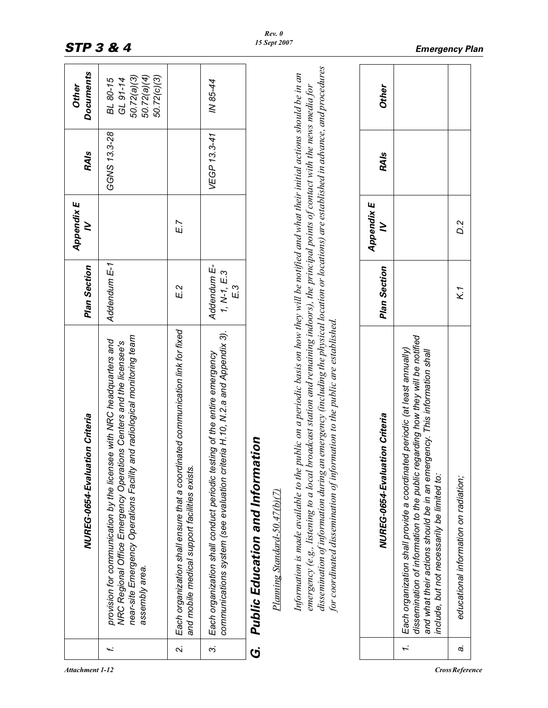|        | NUREG-0654-Evaluation Criteria                                                                                                                                                                                                                                                                                                                                                                                                                                                                                      | <b>Plan Section</b>                | Appendix E<br>≥ | <b>RAIs</b>  | <b>Documents</b><br>Other                                         |
|--------|---------------------------------------------------------------------------------------------------------------------------------------------------------------------------------------------------------------------------------------------------------------------------------------------------------------------------------------------------------------------------------------------------------------------------------------------------------------------------------------------------------------------|------------------------------------|-----------------|--------------|-------------------------------------------------------------------|
| f.     | near-site Emergency Operations Facility and radiological monitoring team<br>provision for communication by the licensee with NRC headquarters and<br>NRC Regional Office Emergency Operations Centers and the licensee's<br>assembly area.                                                                                                                                                                                                                                                                          | Addendum E-1                       |                 | GGNS 13.3-28 | 50.72(a)(3)<br>50.72(a)(4)<br>50.72(c)(3)<br>GL 91-14<br>BL 80-15 |
| $\sim$ | Each organization shall ensure that a coordinated communication link for fixed<br>and mobile medical support facilities exists.                                                                                                                                                                                                                                                                                                                                                                                     | E 2                                | E.7             |              |                                                                   |
| $\sim$ | communications system (see evaluation criteria H.10, N.2.a and Appendix 3).<br>Each organization shall conduct periodic testing of the entire emergency                                                                                                                                                                                                                                                                                                                                                             | Addendum E-<br>$1, N-1, E.3$<br>E3 |                 | VEGP 13.3-41 | IN 85-44                                                          |
| Ġ      | tion<br>Public Education and Informat                                                                                                                                                                                                                                                                                                                                                                                                                                                                               |                                    |                 |              |                                                                   |
|        | Planning Standard-50.47(b)(7)                                                                                                                                                                                                                                                                                                                                                                                                                                                                                       |                                    |                 |              |                                                                   |
|        | dissemination of information during an emergency (including the physical location or locations) are established in advance, and procedures<br>Information is made available to the public on a periodic basis on how they will be notified and what their initial actions should be in an<br>emergency (e.g., listening to a local broadcast station and remaining indoors), the principal points of contact with the news media for<br>for coordinated dissemination of information to the public are established. |                                    |                 |              |                                                                   |
|        | NUREG-0654-Evaluation Criteria                                                                                                                                                                                                                                                                                                                                                                                                                                                                                      | Plan Section                       | Appendix E<br>≥ | <b>RAIs</b>  | <b>Other</b>                                                      |
|        | dissemination of information to the public regarding how they will be notified<br>Each organization shall provide a coordinated periodic (at least annually)<br>and what their actions should be in an emergency. This information shall<br>include, but not necessarily be limited to:<br>1.                                                                                                                                                                                                                       |                                    |                 |              |                                                                   |
| c,     | educational information on radiation;                                                                                                                                                                                                                                                                                                                                                                                                                                                                               | K 1                                | D.2             |              |                                                                   |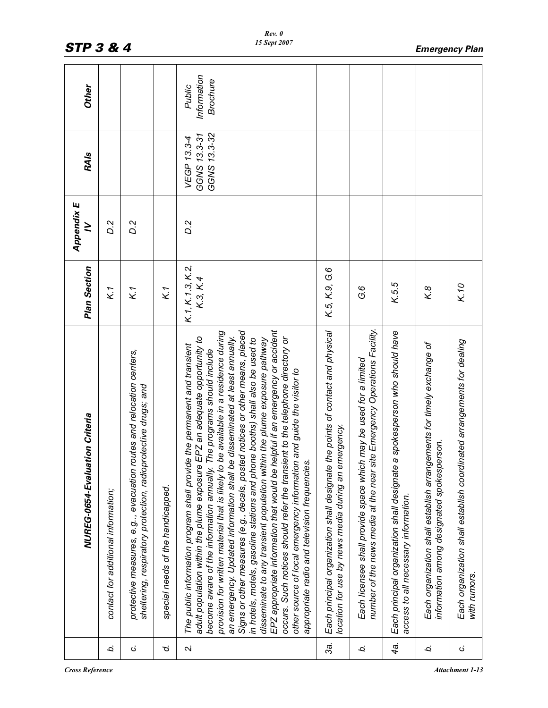|        | NUREG-0654-Evaluation Criteria                                                                                                                                                                                                                                                                                                                                                                                                                                                                                                                                                                                                                                                                                                                                                                                                                                                                                                                           | Plan Section                 | Appendix E<br>≥ | <b>RAIs</b>                                 | Other                             |
|--------|----------------------------------------------------------------------------------------------------------------------------------------------------------------------------------------------------------------------------------------------------------------------------------------------------------------------------------------------------------------------------------------------------------------------------------------------------------------------------------------------------------------------------------------------------------------------------------------------------------------------------------------------------------------------------------------------------------------------------------------------------------------------------------------------------------------------------------------------------------------------------------------------------------------------------------------------------------|------------------------------|-----------------|---------------------------------------------|-----------------------------------|
| b.     | contact for additional information;                                                                                                                                                                                                                                                                                                                                                                                                                                                                                                                                                                                                                                                                                                                                                                                                                                                                                                                      | K1                           | <b>D.2</b>      |                                             |                                   |
| Ġ      | protective measures, e.g., evacuation routes and relocation centers,<br>sheltering, respiratory protection, radioprotective drugs; and                                                                                                                                                                                                                                                                                                                                                                                                                                                                                                                                                                                                                                                                                                                                                                                                                   | K1                           | <b>D.2</b>      |                                             |                                   |
| ρ.     | special needs of the handicapped.                                                                                                                                                                                                                                                                                                                                                                                                                                                                                                                                                                                                                                                                                                                                                                                                                                                                                                                        | K 1                          |                 |                                             |                                   |
| $\sim$ | EPZ appropriate information that would be helpful if an emergency or accident<br>Signs or other measures (e.g., decals, posted notices or other means, placed<br>be available in a residence during<br>an emergency. Updated information shall be disseminated at least annually.<br>EPZ an adequate opportunity to<br>occurs. Such notices should refer the transient to the telephone directory or<br>in hotels, motels, gasoline stations and phone booths) shall also be used to<br>disseminate to any transient population within the plume exposure pathway<br>e the permanent and transient<br>The programs should include<br>other source of local emergency information and guide the visitor to<br>appropriate radio and television frequencies.<br>The public information program shall provid<br>adult population within the plume exposure<br>provision for written material that is likely to<br>become aware of the information annually. | K.1, K.1.3, K.2,<br>K.3, K.4 | D.2             | GGNS 13.3-32<br>GGNS 13.3-31<br>VEGP 13.3-4 | Information<br>Brochure<br>Public |
| 3a.    | Each principal organization shall designate the points of contact and physical<br>location for use by news media during an emergency.                                                                                                                                                                                                                                                                                                                                                                                                                                                                                                                                                                                                                                                                                                                                                                                                                    | K.5, K.9, G.6                |                 |                                             |                                   |
| b.     | number of the news media at the near site Emergency Operations Facility.<br>Each licensee shall provide space which may be used for a limited                                                                                                                                                                                                                                                                                                                                                                                                                                                                                                                                                                                                                                                                                                                                                                                                            | G 6                          |                 |                                             |                                   |
| 4a.    | a spokesperson who should have<br>Each principal organization shall designate<br>access to all necessary information.                                                                                                                                                                                                                                                                                                                                                                                                                                                                                                                                                                                                                                                                                                                                                                                                                                    | K.5.5                        |                 |                                             |                                   |
| Ċ.     | Each organization shall establish arrangements for timely exchange of<br>information among designated spokesperson.                                                                                                                                                                                                                                                                                                                                                                                                                                                                                                                                                                                                                                                                                                                                                                                                                                      | K.8                          |                 |                                             |                                   |
| ن      | Each organization shall establish coordinated arrangements for dealing<br>with rumors.                                                                                                                                                                                                                                                                                                                                                                                                                                                                                                                                                                                                                                                                                                                                                                                                                                                                   | K.10                         |                 |                                             |                                   |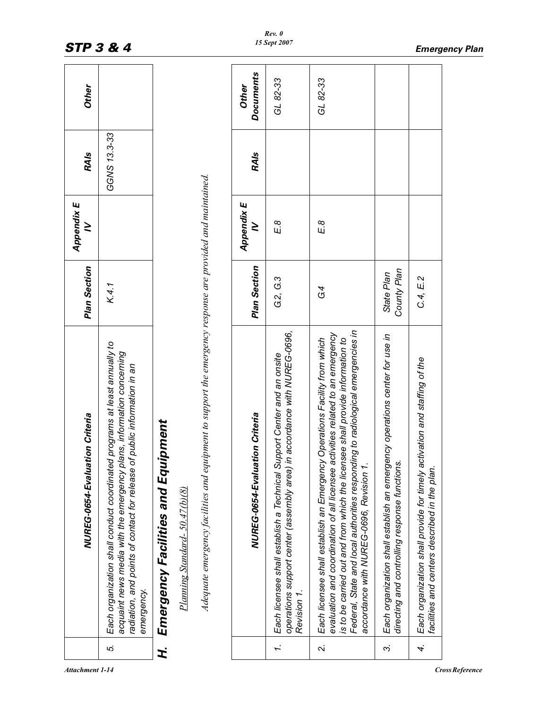|        | NUREG-0654-Evaluation Criteria                                                                                                                                                                                                                                                                                                                                            | Plan Section              | Appendix E<br>≥ | <b>RAIs</b>  | Other                     |
|--------|---------------------------------------------------------------------------------------------------------------------------------------------------------------------------------------------------------------------------------------------------------------------------------------------------------------------------------------------------------------------------|---------------------------|-----------------|--------------|---------------------------|
| ΓÓ.    | Each organization shall conduct coordinated programs at least annually to<br>acquaint news media with the emergency plans, information concerning<br>radiation, and points of contact for release of public information in an<br>emergency.                                                                                                                               | K.4.1                     |                 | GGNS 13.3-33 |                           |
| H.     | iipment<br>Emergency Facilities and Equ<br>Planning Standard- 50.47(b)(8)                                                                                                                                                                                                                                                                                                 |                           |                 |              |                           |
|        | Adequate emergency facilities and equipment to support the emergency response are provided and maintained.                                                                                                                                                                                                                                                                |                           |                 |              |                           |
|        | NUREG-0654-Evaluation Criteria                                                                                                                                                                                                                                                                                                                                            | <b>Plan Section</b>       | Appendix E<br>≥ | <b>RAIs</b>  | <b>Documents</b><br>Other |
| Ĩ.     | operations support center (assembly area) in accordance with NUREG-0696,<br>Each licensee shall establish a Technical Support Center and an onsite<br>Revision 1.                                                                                                                                                                                                         | G.2, G.3                  | E8              |              | GL 82-33                  |
| $\sim$ | Federal, State and local authorities responding to radiological emergencies in<br>evaluation and coordination of all licensee activities related to an emergency<br>Each licensee shall establish an Emergency Operations Facility from which<br>is to be carried out and from which the licensee shall provide information to<br>accordance with NUREG-0696, Revision 1. | G4                        | E8              |              | GL 82-33                  |
| ω,     | Each organization shall establish an emergency operations center for use in<br>directing and controlling response functions                                                                                                                                                                                                                                               | County Plan<br>State Plan |                 |              |                           |
| 4.     | Each organization shall provide for timely activation and staffing of the<br>facilities and centers described in the plan.                                                                                                                                                                                                                                                | C.4, E.2                  |                 |              |                           |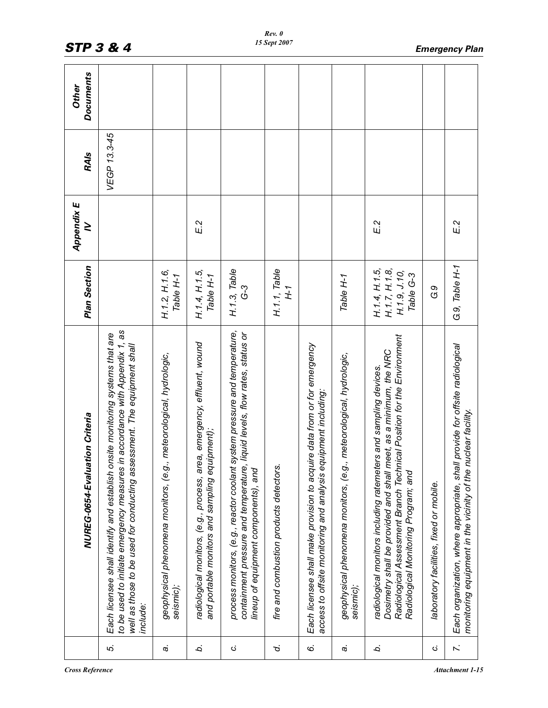|               | NUREG-0654-Evaluation Criteria                                                                                                                                                                                                                         | Plan Section                                                | Appendix E<br>≥ | <b>RAIs</b>  | <b>Documents</b><br>Other |
|---------------|--------------------------------------------------------------------------------------------------------------------------------------------------------------------------------------------------------------------------------------------------------|-------------------------------------------------------------|-----------------|--------------|---------------------------|
| 5.            | to be used to initiate emergency measures in accordance with Appendix 1, as<br>Each licensee shall identify and establish onsite monitoring systems that are<br>well as those to be used for conducting assessment. The equipment shall<br>include:    |                                                             |                 | VEGP 13.3-45 |                           |
| c,            | geophysical phenomena monitors, (e.g., meteorological, hydrologic,<br>seismic);                                                                                                                                                                        | H.1.2, H.1.6,<br>Table H-1                                  |                 |              |                           |
| b.            | radiological monitors, (e.g., process, area, emergency, effluent, wound<br>and portable monitors and sampling equipment);                                                                                                                              | H.1.4, H.1.5,<br>Table H-1                                  | E <sub>2</sub>  |              |                           |
| ن             | system pressure and temperature,<br>containment pressure and temperature, liquid levels, flow rates, status or<br>process monitors, (e.g., reactor coolant<br>lineup of equipment components), and                                                     | H.1.3, Table<br>$G-3$                                       |                 |              |                           |
| ρ.            | fire and combustion products detectors.                                                                                                                                                                                                                | H.1.1, Table<br>H-1                                         |                 |              |                           |
| 6             | Each licensee shall make provision to acquire data from or for emergency<br>access to offsite monitoring and analysis equipment including:                                                                                                             |                                                             |                 |              |                           |
| c.            | geophysical phenomena monitors, (e.g., meteorological, hydrologic,<br>seismic);                                                                                                                                                                        | Table H-1                                                   |                 |              |                           |
| b.            | Radiological Assessment Branch Technical Position for the Environment<br>Dosimetry shall be provided and shall meet, as a minimum, the NRC<br>radiological monitors including ratemeters and sampling devices.<br>Radiological Monitoring Program; and | H.1.7, H.1.8,<br>H.1.4, H.1.5,<br>H.1.9, J.10,<br>Table G-3 | E.2             |              |                           |
| C,            | laboratory facilities, fixed or mobile.                                                                                                                                                                                                                | G9                                                          |                 |              |                           |
| $\ddot{\sim}$ | Each organization, where appropriate, shall provide for offsite radiological<br>monitoring equipment in the vicinity of the nuclear facility.                                                                                                          | G.9, Table H-1                                              | E 2             |              |                           |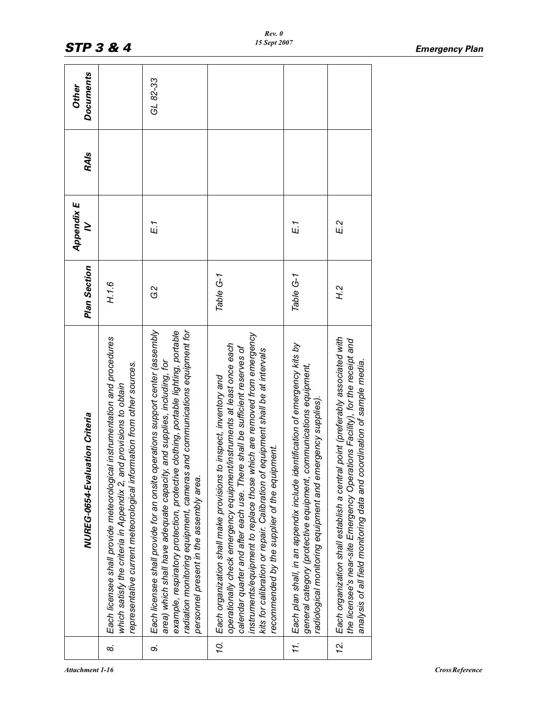|     | NUREG-0654-Evaluation Criteria                                                                                                                                                                                                                                                                                                                                                                                                                | Plan Section   | Appendix E<br>≥ | <b>RAIs</b> | <b>Documents</b><br>Other |
|-----|-----------------------------------------------------------------------------------------------------------------------------------------------------------------------------------------------------------------------------------------------------------------------------------------------------------------------------------------------------------------------------------------------------------------------------------------------|----------------|-----------------|-------------|---------------------------|
| 6   | instrumentation and procedures<br>representative current meteorological information from other sources.<br>which satisfy the criteria in Appendix 2, and provisions to obtain<br>Each licensee shall provide meteorological                                                                                                                                                                                                                   | H.1.6          |                 |             |                           |
| တဲ  | Each licensee shall provide for an onsite operations support center (assembly<br>nd communications equipment for<br>example, respiratory protection, protective clothing, portable lighting, portable<br>area) which shall have adequate capacity, and supplies, including, for<br>radiation monitoring equipment, cameras al<br>personnel present in the assembly area.                                                                      | G2             | E.1             |             | GL 82-33                  |
| Ź,  | instruments/equipment to replace those which are removed from emergency<br>operationally check emergency equipment/instruments at least once each<br>shall be sufficient reserves of<br>kits for calibration or repair. Calibration of equipment shall be at intervals<br>inspect, inventory and<br>recommended by the supplier of the equipment.<br>Each organization shall make provisions to<br>calendar quarter and after each use. There | Table G-1      |                 |             |                           |
| 11. | Each plan shall, in an appendix include identification of emergency kits by<br>general category (protective equipment, communications equipment,<br>radiological monitoring equipment and emergency supplies).                                                                                                                                                                                                                                | Table G-1      | E.1             |             |                           |
| 12. | Each organization shall establish a central point (preferably associated with<br>the licensee's near-site Emergency Operations Facility), for the receipt and<br>analysis of all field monitoring data and coordination of sample media.                                                                                                                                                                                                      | H <sub>2</sub> | E2              |             |                           |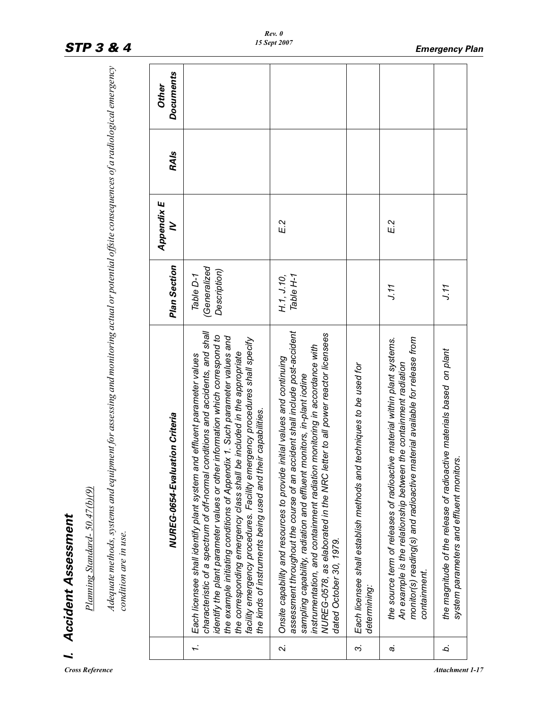| i                                       |
|-----------------------------------------|
| ׇ֚֘                                     |
|                                         |
|                                         |
| f                                       |
| ŕ                                       |
|                                         |
|                                         |
|                                         |
|                                         |
|                                         |
|                                         |
|                                         |
| ı                                       |
| ֦֧֦֧֦֧֦֧֦֧֦֧֦֧֦֧֦֧֦֧֦֧֦֧֦֧֦֧֦֧֦֧֦֧֦֧֚֚֬ |
| י                                       |
|                                         |
|                                         |
|                                         |
|                                         |

|           | Planning Standard- 50.47(b)(9)<br>I. Accident Assessment                                                                                                                                                                                                                                                                                                                                                                                                                                                                                       |                                            |                 |             |                           |
|-----------|------------------------------------------------------------------------------------------------------------------------------------------------------------------------------------------------------------------------------------------------------------------------------------------------------------------------------------------------------------------------------------------------------------------------------------------------------------------------------------------------------------------------------------------------|--------------------------------------------|-----------------|-------------|---------------------------|
|           | Adequate methods, systems and equipment for assessing and monitoring actual or potential offsite consequences of a radiological emergency<br>condition are in use.                                                                                                                                                                                                                                                                                                                                                                             |                                            |                 |             |                           |
|           | NUREG-0654-Evaluation Criteria                                                                                                                                                                                                                                                                                                                                                                                                                                                                                                                 | <b>Plan Section</b>                        | Appendix E<br>≥ | <b>RAIs</b> | <b>Documents</b><br>Other |
| $\dot{r}$ | characteristic of a spectrum of off-normal conditions and accidents, and shall<br>identify the plant parameter values or other information which correspond to<br>the example initiating conditions of Appendix 1. Such parameter values and<br>facility emergency procedures. Facility emergency procedures shall specify<br>the corresponding emergency class shall be included in the appropriate<br>Each licensee shall identify plant system and effluent parameter values<br>the kinds of instruments being used and their capabilities. | (Generalized)<br>Description)<br>Table D-1 |                 |             |                           |
| $\sim$    | assessment throughout the course of an accident shall include post-accident<br>NUREG-0578, as elaborated in the NRC letter to all power reactor licensees<br>instrumentation, and containment radiation monitoring in accordance with<br>Onsite capability and resources to provide initial values and continuing<br>sampling capability, radiation and effluent monitors, in-plant iodine<br>dated October 30, 1979.                                                                                                                          | Table H-1<br>H.1, J.10,                    | E.2             |             |                           |
| ကဲ        | techniques to be used for<br>Each licensee shall establish methods and<br>determining                                                                                                                                                                                                                                                                                                                                                                                                                                                          |                                            |                 |             |                           |
| c,        | the source term of releases of radioactive material within plant systems.<br>monitor(s) reading(s) and radioactive material available for release from<br>An example is the relationship between the containment radiation<br>containment.                                                                                                                                                                                                                                                                                                     | J.11                                       | E <sub>2</sub>  |             |                           |
| Ċ.        | the magnitude of the release of radioactive materials based on plant<br>system parameters and effluent monitors.                                                                                                                                                                                                                                                                                                                                                                                                                               | J.11                                       |                 |             |                           |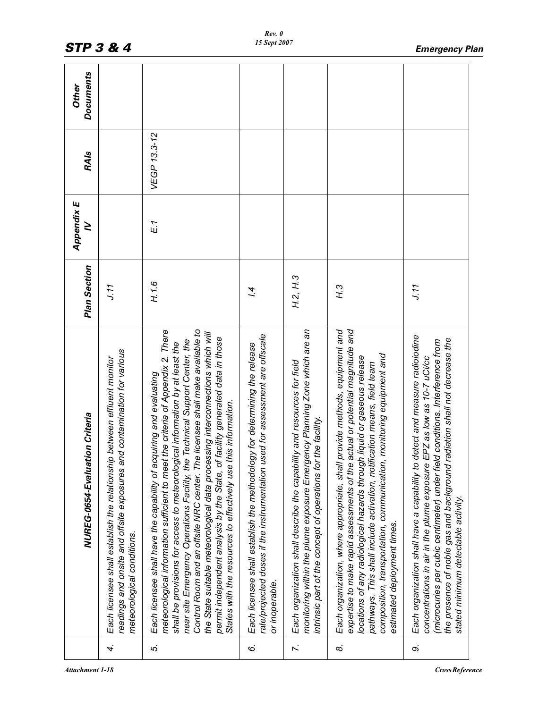|          | NUREG-0654-Evaluation Criteria                                                                                                                                                                                                                                                                                                                                                                                                                                                                                                                                                                                                                | <b>Plan Section</b> | Appendix E<br>$\geq$ | <b>RAIs</b>  | <b>Documents</b><br><b>Other</b> |
|----------|-----------------------------------------------------------------------------------------------------------------------------------------------------------------------------------------------------------------------------------------------------------------------------------------------------------------------------------------------------------------------------------------------------------------------------------------------------------------------------------------------------------------------------------------------------------------------------------------------------------------------------------------------|---------------------|----------------------|--------------|----------------------------------|
| 4.       | readings and onsite and offsite exposures and contamination for various<br>Each licensee shall establish the relationship between effluent monitor<br>meteorological conditions.                                                                                                                                                                                                                                                                                                                                                                                                                                                              | J.11                |                      |              |                                  |
| ιó,      | Control Room and an offsite NRC center. The licensee shall make available to<br>meteorological information sufficient to meet the criteria of Appendix 2. There<br>the State suitable meteorological data processing interconnections which will<br>permit independent analysis by the State, of facility generated data in those<br>near site Emergency Operations Facility, the Technical Support Center, the<br>shall be provisions for access to meteorological information by at least the<br>Each licensee shall have the capability of acquiring and evaluating<br>this information.<br>States with the resources to effectively use t | H.1.6               | $E_1$                | VEGP 13.3-12 |                                  |
| Ġ.       | rate/projected doses if the instrumentation used for assessment are offscale<br>Each licensee shall establish the methodology for determining the release<br>or inoperable.                                                                                                                                                                                                                                                                                                                                                                                                                                                                   | 74                  |                      |              |                                  |
| 7.       | monitoring within the plume exposure Emergency Planning Zone which are an<br>Each organization shall describe the capability and resources for field<br>intrinsic part of the concept of operations for the facility.                                                                                                                                                                                                                                                                                                                                                                                                                         | H.2, H.3            |                      |              |                                  |
| $\infty$ | Each organization, where appropriate, shall provide methods, equipment and<br>actual or potential magnitude and<br>monitoring equipment and<br>locations of any radiological hazards through liquid or gaseous release<br>pathways. This shall include activation, notification means, field team<br>composition, transportation, communication,<br>expertise to make rapid assessments of the<br>estimated deployment times.                                                                                                                                                                                                                 | $\mathcal{F}$       |                      |              |                                  |
| c,       | Each organization shall have a capability to detect and measure radioiodine<br>radiation shall not decrease the<br>(microcuries per cubic centimeter) under field conditions. Interference from<br>EPZ as low as 10-7 uCi/cc<br>concentrations in air in the plume exposure<br>the presence of noble gas and background<br>stated minimum detectable activity.                                                                                                                                                                                                                                                                                | J.11                |                      |              |                                  |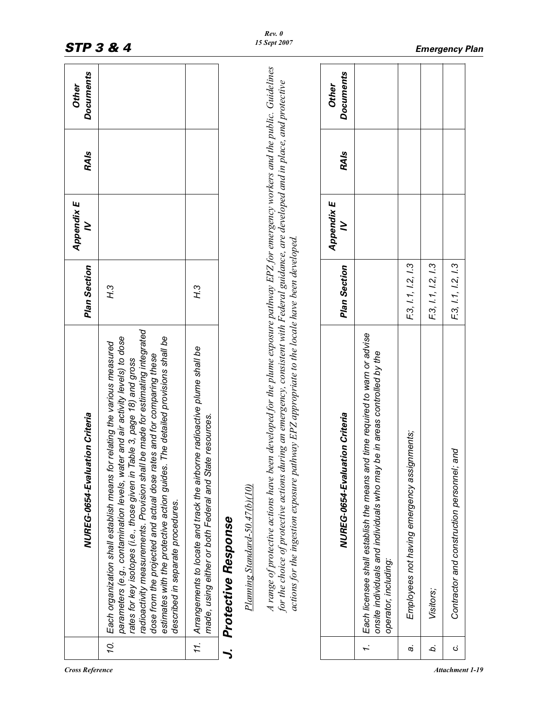|     | NUREG-0654-Evaluation Criteria                                                                                                                                                                                                                                                                                                                                                                                                                                                                                             | <b>Plan Section</b> | Appendix E<br>≥ | <b>RAIs</b> | <b>Documents</b><br>Other |
|-----|----------------------------------------------------------------------------------------------------------------------------------------------------------------------------------------------------------------------------------------------------------------------------------------------------------------------------------------------------------------------------------------------------------------------------------------------------------------------------------------------------------------------------|---------------------|-----------------|-------------|---------------------------|
| ŹÓ. | radioactivity measurements. Provision shall be made for estimating integrated<br>parameters (e.g., contamination levels, water and air activity levels) to dose<br>The detailed provisions shall be<br>Each organization shall establish means for relating the various measured<br>dose from the projected and actual dose rates and for comparing these<br>rates for key isotopes (i.e., those given in Table 3, page 18) and gross<br>estimates with the protective action guides.<br>described in separate procedures. | H.3                 |                 |             |                           |
| 11. | Arrangements to locate and track the airborne radioactive plume shall be<br>made, using either or both Federal and State resources.                                                                                                                                                                                                                                                                                                                                                                                        | $\mathcal{F}$       |                 |             |                           |
|     | Protective Response                                                                                                                                                                                                                                                                                                                                                                                                                                                                                                        |                     |                 |             |                           |
|     | Planning Standard-50.47(b)(10)                                                                                                                                                                                                                                                                                                                                                                                                                                                                                             |                     |                 |             |                           |
|     | A range of protective actions have been developed for the plume exposure pathway EPZ for emergency workers and the public. Guidelines<br>for the choice of protective actions during an emergency, consistent with Federal guidance, are developed and in place, and protective<br>actions for the ingestion exposure pathway EPZ appropriate to the locale have been developed.                                                                                                                                           |                     |                 |             |                           |
|     | NUREG-0654-Evaluation Criteria                                                                                                                                                                                                                                                                                                                                                                                                                                                                                             | Plan Section        | Appendix E<br>≥ | <b>RAIs</b> | <b>Documents</b><br>Other |
| I.  | Each licensee shall establish the means and time required to warn or advise<br>onsite individuals and individuals who may be in areas controlled by the<br>operator, including:                                                                                                                                                                                                                                                                                                                                            |                     |                 |             |                           |
| c,  | Employees not having emergency assignments;                                                                                                                                                                                                                                                                                                                                                                                                                                                                                | F.3, I.1, I.2, I.3  |                 |             |                           |
| b.  | Visitors;                                                                                                                                                                                                                                                                                                                                                                                                                                                                                                                  | F.3, I.1, I.2, I.3  |                 |             |                           |
| Ġ   | Contractor and construction personnel; and                                                                                                                                                                                                                                                                                                                                                                                                                                                                                 | F.3, I.1, I.2, I.3  |                 |             |                           |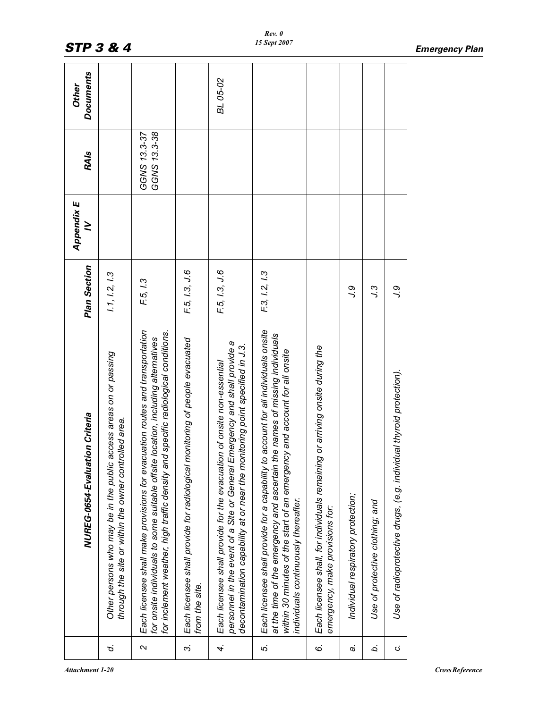|                | NUREG-0654-Evaluation Criteria                                                                                                                                                                                                                                                            | Plan Section  | Appendix E<br>≥ | <b>RAIs</b>                  | <b>Documents</b><br>Other |
|----------------|-------------------------------------------------------------------------------------------------------------------------------------------------------------------------------------------------------------------------------------------------------------------------------------------|---------------|-----------------|------------------------------|---------------------------|
| ρ.             | Other persons who may be in the public access areas on or passing<br>through the site or within the owner controlled area.                                                                                                                                                                | 1.1, 1.2, 1.3 |                 |                              |                           |
| $\sim$         | Each licensee shall make provisions for evacuation routes and transportation<br>for inclement weather, high traffic density and specific radiological conditions.<br>e location, including alternatives<br>for onsite individuals to some suitable offsit                                 | F.5, 1.3      |                 | GGNS 13.3-38<br>GGNS 13.3-37 |                           |
| $\ddot{\rm s}$ | monitoring of people evacuated<br>Each licensee shall provide for radiological<br>from the site.                                                                                                                                                                                          | F.5, 1.3, J.6 |                 |                              |                           |
| 4.             | Emergency and shall provide a<br>onitoring point specified in J.3.<br>Each licensee shall provide for the evacuation of onsite non-essential<br>personnel in the event of a Site or General<br>decontamination capability at or near the m                                                | F.5, 1.3, J.6 |                 |                              | BL 05-02                  |
| Ιó,            | Each licensee shall provide for a capability to account for all individuals onsite<br>the names of missing individuals<br>within 30 minutes of the start of an emergency and account for all onsite<br>at the time of the emergency and ascertain<br>individuals continuously thereafter. | F.3, I.2, I.3 |                 |                              |                           |
| Ġ.             | Each licensee shall, for individuals remaining or arriving onsite during the<br>emergency, make provisions for:                                                                                                                                                                           |               |                 |                              |                           |
| a.             | Individual respiratory protection;                                                                                                                                                                                                                                                        | ور            |                 |                              |                           |
| b.             | Use of protective clothing; and                                                                                                                                                                                                                                                           | و.ر           |                 |                              |                           |
| ن              | Use of radioprotective drugs, (e.g. individual thyroid protection).                                                                                                                                                                                                                       | و ر           |                 |                              |                           |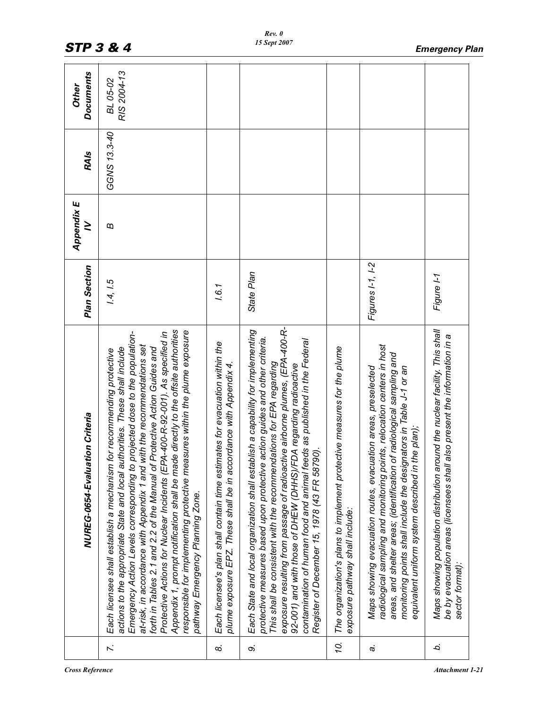|          | NUREG-0654-Evaluation Criteria                                                                                                                                                                                                                                                                                                                                                                                                                                                                                                                                                                                                                                                               | Plan Section     | Appendix E<br>≥       | <b>RAIs</b>  | <b>Documents</b><br><b>Other</b> |
|----------|----------------------------------------------------------------------------------------------------------------------------------------------------------------------------------------------------------------------------------------------------------------------------------------------------------------------------------------------------------------------------------------------------------------------------------------------------------------------------------------------------------------------------------------------------------------------------------------------------------------------------------------------------------------------------------------------|------------------|-----------------------|--------------|----------------------------------|
| Z.       | Appendix 1, prompt notification shall be made directly to the offsite authorities<br>responsible for implementing protective measures within the plume exposure<br>projected dose to the population-<br>Protective Actions for Nuclear Incidents (EPA-400-R-92-001). As specified in<br>with the recommendations set<br>forth in Tables 2.1 and 2.2 of the Manual of Protective Action Guides and<br>actions to the appropriate State and local authorities. These shall include<br>for recommending protective<br>at-risk, in accordance with Appendix 1 and 1<br>Each licensee shall establish a mechanism<br>Emergency Action Levels corresponding to<br>pathway Emergency Planning Zone. | 1.4, 1.5         | $\boldsymbol{\omega}$ | GGNS 13.3-40 | RIS 2004-13<br>BL 05-02          |
| $\infty$ | Each licensee's plan shall contain time estimates for evacuation within the<br>plume exposure EPZ. These shall be in accordance with Appendix 4.                                                                                                                                                                                                                                                                                                                                                                                                                                                                                                                                             | 1.6.1            |                       |              |                                  |
| $\infty$ | exposure resulting from passage of radioactive airborne plumes, (EPA-400-R-<br>Each State and local organization shall establish a capability for implementing<br>protective measures based upon protective action guides and other criteria.<br>contamination of human food and animal feeds as published in the Federal<br>This shall be consistent with the recommendations for EPA regarding<br>92-001) and with those of DHEW (DHHS)/FDA regarding radioactive<br>Register of December 15, 1978 (43 FR 58790).                                                                                                                                                                          | State Plan       |                       |              |                                  |
| 10.      | The organization's plans to implement protective measures for the plume<br>exposure pathway shall include:                                                                                                                                                                                                                                                                                                                                                                                                                                                                                                                                                                                   |                  |                       |              |                                  |
| c,       | radiological sampling and monitoring points, relocation centers in host<br>areas, and shelter areas; (identification of radiological sampling and<br>Maps showing evacuation routes, evacuation areas, preselected<br>monitoring points shall include the designators in Table J-1 or an<br>equivalent uniform system described in the plan);                                                                                                                                                                                                                                                                                                                                                | Figures I-1, I-2 |                       |              |                                  |
| ò.       | Maps showing population distribution around the nuclear facility. This shall<br>also present the information in a<br>be by evacuation areas (licensees shall<br>sector format).                                                                                                                                                                                                                                                                                                                                                                                                                                                                                                              | Figure I-1       |                       |              |                                  |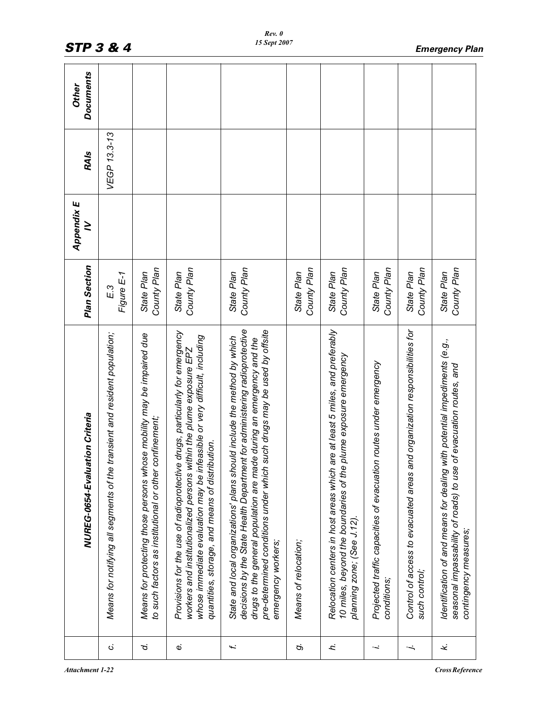|                | NUREG-0654-Evaluation Criteria                                                                                                                                                                                                                                                                                                    | <b>Plan Section</b>       | Appendix E<br>$\geq$ | <b>RAIs</b>  | <b>Documents</b><br>Other |
|----------------|-----------------------------------------------------------------------------------------------------------------------------------------------------------------------------------------------------------------------------------------------------------------------------------------------------------------------------------|---------------------------|----------------------|--------------|---------------------------|
| ن.             | transient and resident population;<br>Means for notifying all segments of the                                                                                                                                                                                                                                                     | Figure E-1<br>E.3         |                      | VEGP 13.3-13 |                           |
| d.             | Means for protecting those persons whose mobility may be impaired due<br>to such factors as institutional or other confinement;                                                                                                                                                                                                   | County Plan<br>State Plan |                      |              |                           |
| $\dot{\omega}$ | Provisions for the use of radioprotective drugs, particularly for emergency<br>whose immediate evaluation may be infeasible or very difficult, including<br>workers and institutionalized persons within the plume exposure EPZ<br>quantities, storage, and means of distribution.                                                | County Plan<br>State Plan |                      |              |                           |
| Í.             | decisions by the State Health Department for administering radioprotective<br>such drugs may be used by offsite<br>State and local organizations' plans should include the method by which<br>drugs to the general population are made during an emergency and the<br>pre-determined conditions under which<br>emergency workers; | County Plan<br>State Plan |                      |              |                           |
| c,             | Means of relocation;                                                                                                                                                                                                                                                                                                              | County Plan<br>State Plan |                      |              |                           |
| ŕ.             | Relocation centers in host areas which are at least 5 miles, and preferably<br>plume exposure emergency<br>10 miles, beyond the boundaries of the<br>planning zone; (See J.12).                                                                                                                                                   | County Plan<br>State Plan |                      |              |                           |
| j.             | Projected traffic capacities of evacuation routes under emergency<br>conditions;                                                                                                                                                                                                                                                  | County Plan<br>State Plan |                      |              |                           |
| .<br>.         | Control of access to evacuated areas and organization responsibilities for<br>such control;                                                                                                                                                                                                                                       | County Plan<br>State Plan |                      |              |                           |
| نجد            | with potential impediments (e.g.,<br>of evacuation routes, and<br>seasonal impassability of roads) to use<br>Identification of and means for dealing<br>contingency measures;                                                                                                                                                     | County Plan<br>State Plan |                      |              |                           |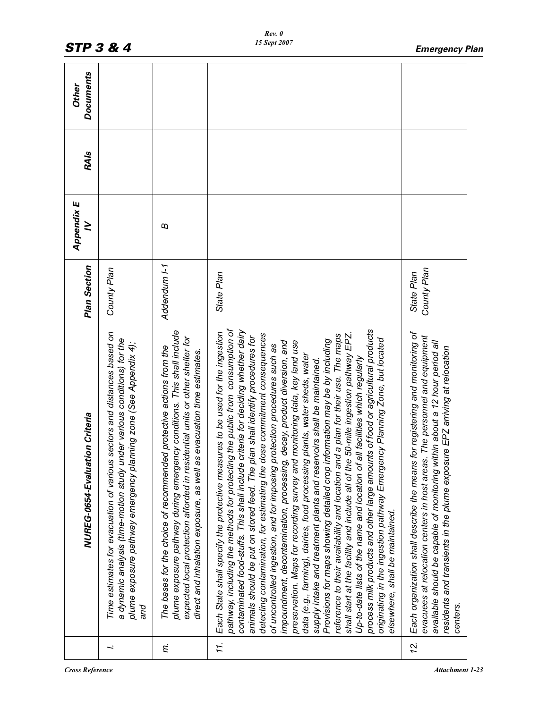|     | NUREG-0654-Evaluation Criteria                                                                                                                                                                                                                                                                                                                                                                                                                                                                                                                                                                                                                                                                                                                                                                                                                                                                                                                                                                                                                                                                                                                                                                                                                                                                                                                              | Plan Section              | Appendix E<br>≥ | <b>RAIs</b> | <b>Documents</b><br><b>Other</b> |
|-----|-------------------------------------------------------------------------------------------------------------------------------------------------------------------------------------------------------------------------------------------------------------------------------------------------------------------------------------------------------------------------------------------------------------------------------------------------------------------------------------------------------------------------------------------------------------------------------------------------------------------------------------------------------------------------------------------------------------------------------------------------------------------------------------------------------------------------------------------------------------------------------------------------------------------------------------------------------------------------------------------------------------------------------------------------------------------------------------------------------------------------------------------------------------------------------------------------------------------------------------------------------------------------------------------------------------------------------------------------------------|---------------------------|-----------------|-------------|----------------------------------|
| ∹   | Time estimates for evacuation of various sectors and distances based on<br>a dynamic analysis (time-motion study under various conditions) for the<br>plume exposure pathway emergency planning zone (See Appendix 4);<br>and                                                                                                                                                                                                                                                                                                                                                                                                                                                                                                                                                                                                                                                                                                                                                                                                                                                                                                                                                                                                                                                                                                                               | County Plan               |                 |             |                                  |
| Ę.  | plume exposure pathway during emergency conditions. This shall include<br>expected local protection afforded in residential units or other shelter for<br>The bases for the choice of recommended protective actions from the<br>direct and inhalation exposure, as well as evacuation time estimates.                                                                                                                                                                                                                                                                                                                                                                                                                                                                                                                                                                                                                                                                                                                                                                                                                                                                                                                                                                                                                                                      | Addendum I-1              | $\omega$        |             |                                  |
| 11. | pathway, including the methods for protecting the public from consumption of<br>process milk products and other large amounts of food or agricultural products<br>contaminated food-stuffs. This shall include criteria for deciding whether dairy<br>Each State shall specify the protective measures to be used for the ingestion<br>dose commitment consequences<br>shall start at the facility and include all of the 50-mile ingestion pathway EPZ.<br>reference to their availability and location and a plan for their use. The maps<br>animals should be put on stored feed. The plan shall identify procedures for<br>originating in the ingestion pathway Emergency Planning Zone, but located<br>Provisions for maps showing detailed crop information may be by including<br>preservation. Maps for recording survey and monitoring data, key land use<br>impoundment, decontamination, processing, decay, product diversion, and<br>protection procedures such as<br>data (e.g., farming), dairies, food processing plants, water sheds, water<br>Up-to-date lists of the name and location of all facilities which regularly<br>supply intake and treatment plants and reservoirs shall be maintained.<br>detecting contamination, for estimating the<br>of uncontrolled ingestion, and for imposing $\mu$<br>elsewhere, shall be maintained. | State Plan                |                 |             |                                  |
| 12. | Each organization shall describe the means for registering and monitoring of<br>evacuees at relocation centers in host areas. The personnel and equipment<br>available should be capable of monitoring within about a 12 hour period all<br>residents and transients in the plume exposure EPZ arriving at relocation<br>centers.                                                                                                                                                                                                                                                                                                                                                                                                                                                                                                                                                                                                                                                                                                                                                                                                                                                                                                                                                                                                                           | County Plan<br>State Plan |                 |             |                                  |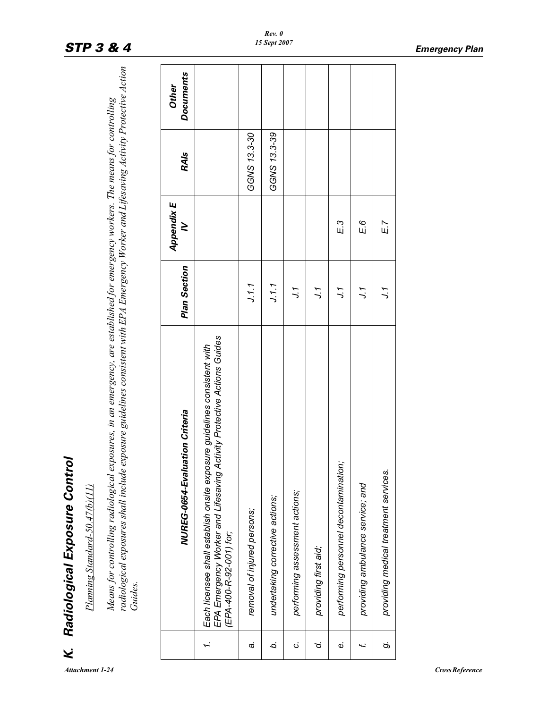| ı           |  |
|-------------|--|
| ì           |  |
| ۹<br>۱<br>I |  |

|        | Radiological Exposure Control<br>Planning Standard-50.47(b)(11)                                                                                                                                                                                                                       |                     |                 |              |                                  |
|--------|---------------------------------------------------------------------------------------------------------------------------------------------------------------------------------------------------------------------------------------------------------------------------------------|---------------------|-----------------|--------------|----------------------------------|
|        | radiological exposures shall include exposure guidelines consistent with EPA Emergency Worker and Lifesaving Activity Protective Action<br>Means for controlling radiological exposures, in an emergency, are established for emergency workers. The means for controlling<br>Guides. |                     |                 |              |                                  |
|        | NUREG-0654-Evaluation Criteria                                                                                                                                                                                                                                                        | <b>Plan Section</b> | Appendix E<br>≥ | <b>RAIs</b>  | <b>Documents</b><br><b>Other</b> |
| Ĩ.     | EPA Emergency Worker and Lifesaving Activity Protective Actions Guides<br>Each licensee shall establish onsite exposure guidelines consistent with<br>(EPA-400-R-92-001) for;                                                                                                         |                     |                 |              |                                  |
| c,     | removal of injured persons;                                                                                                                                                                                                                                                           | J.1.1               |                 | GGNS 13.3-30 |                                  |
| ò.     | undertaking corrective actions;                                                                                                                                                                                                                                                       | J.1.1               |                 | GGNS 13.3-39 |                                  |
| ن      | performing assessment actions;                                                                                                                                                                                                                                                        | 7.1                 |                 |              |                                  |
| ن<br>ح | providing first aid;                                                                                                                                                                                                                                                                  | 7.1                 |                 |              |                                  |
| Φ      | performing personnel decontamination                                                                                                                                                                                                                                                  | ر ر                 | $E$ 3           |              |                                  |
| £      | providing ambulance service; and                                                                                                                                                                                                                                                      | ر ر                 | E 6             |              |                                  |
| Ġ      | providing medical treatment services.                                                                                                                                                                                                                                                 | い                   | $E$ 7           |              |                                  |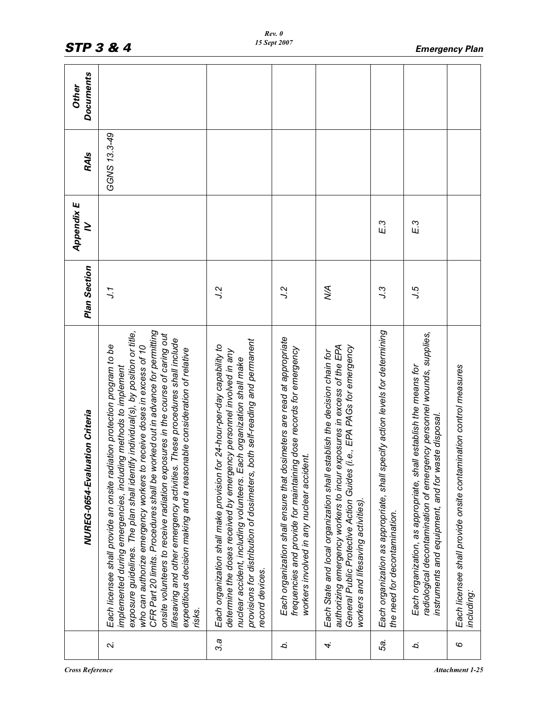|        | NUREG-0654-Evaluation Criteria                                                                                                                                                                                                                                                                                                                                                                                                                                                                                                                                                                                                                 | Plan Section | Appendix E<br>$\geq$ | <b>RAIs</b>  | <b>Documents</b><br>Other |
|--------|------------------------------------------------------------------------------------------------------------------------------------------------------------------------------------------------------------------------------------------------------------------------------------------------------------------------------------------------------------------------------------------------------------------------------------------------------------------------------------------------------------------------------------------------------------------------------------------------------------------------------------------------|--------------|----------------------|--------------|---------------------------|
| $\sim$ | CFR Part 20 limits. Procedures shall be worked out in advance for permitting<br>exposure guidelines. The plan shall identify individual(s), by position or title,<br>onsite volunteers to receive radiation exposures in the course of caring out<br>These procedures shall include<br>Each licensee shall provide an onsite radiation protection program to be<br>receive doses in excess of 10<br>expeditious decision making and a reasonable consideration of relative<br>implemented during emergencies, including methods to implement<br>who can authorize emergency workers to<br>lifesaving and other emergency activities.<br>risks. | ر ر          |                      | GGNS 13.3-49 |                           |
| 3.a    | provisions for distribution of dosimeters, both self-reading and permanent<br>Each organization shall make provision for 24-hour-per-day capability to<br>determine the doses received by emergency personnel involved in any<br>nuclear accident, including volunteers. Each organization shall make<br>record devices.                                                                                                                                                                                                                                                                                                                       | ر<br>ر       |                      |              |                           |
| ò.     | Each organization shall ensure that dosimeters are read at appropriate<br>frequencies and provide for maintaining dose records for emergency<br>workers involved in any nuclear accident.                                                                                                                                                                                                                                                                                                                                                                                                                                                      | 2.ر          |                      |              |                           |
| 4.     | authorizing emergency workers to incur exposures in excess of the EPA<br>General Public Protective Action Guides (i.e., EPA PAGs for emergency<br>Each State and local organization shall establish the decision chain for<br>workers and lifesaving activities).                                                                                                                                                                                                                                                                                                                                                                              | УÁ           |                      |              |                           |
| ιŜ.    | Each organization as appropriate, shall specify action levels for determining<br>the need for decontamination.                                                                                                                                                                                                                                                                                                                                                                                                                                                                                                                                 | و.ر          | E.3                  |              |                           |
| b.     | radiological decontamination of emergency personnel wounds, supplies,<br>Each organization, as appropriate, shall establish the means for<br>instruments and equipment, and for waste disposal.                                                                                                                                                                                                                                                                                                                                                                                                                                                | 5.ر          | E.3                  |              |                           |
| 6      | Each licensee shall provide onsite contamination control measures<br>including:                                                                                                                                                                                                                                                                                                                                                                                                                                                                                                                                                                |              |                      |              |                           |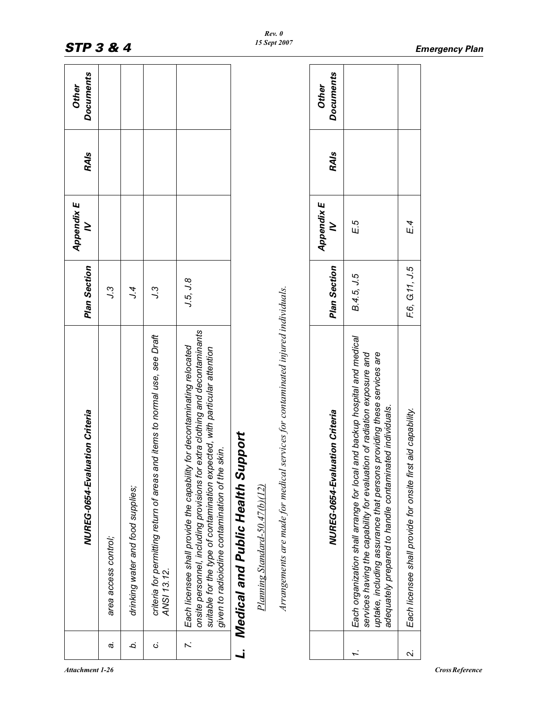| <b>Documents</b><br><b>Documents</b><br>Other<br><b>Other</b><br><b>RAIs</b><br><b>RAIs</b><br>Appendix E<br>Appendix E<br>E.5<br>≥<br>≥<br>Plan Section<br>Plan Section<br>B.4.5, J.5<br>J.5, J.8<br>3.ر<br>Arrangements are made for medical services for contaminated injured individuals.<br>7.4<br>ير<br>د<br>onsite personnel, including provisions for extra clothing and decontaminants<br>criteria for permitting return of areas and items to normal use, see Draft<br>Each organization shall arrange for local and backup hospital and medical<br>for decontaminating relocated<br>suitable for the type of contamination expected, with particular attention<br>providing these services are<br>services having the capability for evaluation of radiation exposure and<br>ted individuals.<br>NUREG-0654-Evaluation Criteria<br>NUREG-0654-Evaluation Criteria<br>Medical and Public Health Support<br>given to radioiodine contamination of the skin.<br>adequately prepared to handle contaminat<br>uptake, including assurance that persons<br>Each licensee shall provide the capability<br>Planning Standard-50.47(b)(12)<br>drinking water and food supplies;<br>area access control;<br>ANSI 13.12.<br>a,<br>b.<br>$\overline{r}$ .<br>ن |  |  |  |  |  |                                                              |
|---------------------------------------------------------------------------------------------------------------------------------------------------------------------------------------------------------------------------------------------------------------------------------------------------------------------------------------------------------------------------------------------------------------------------------------------------------------------------------------------------------------------------------------------------------------------------------------------------------------------------------------------------------------------------------------------------------------------------------------------------------------------------------------------------------------------------------------------------------------------------------------------------------------------------------------------------------------------------------------------------------------------------------------------------------------------------------------------------------------------------------------------------------------------------------------------------------------------------------------------------------------|--|--|--|--|--|--------------------------------------------------------------|
|                                                                                                                                                                                                                                                                                                                                                                                                                                                                                                                                                                                                                                                                                                                                                                                                                                                                                                                                                                                                                                                                                                                                                                                                                                                               |  |  |  |  |  |                                                              |
|                                                                                                                                                                                                                                                                                                                                                                                                                                                                                                                                                                                                                                                                                                                                                                                                                                                                                                                                                                                                                                                                                                                                                                                                                                                               |  |  |  |  |  |                                                              |
|                                                                                                                                                                                                                                                                                                                                                                                                                                                                                                                                                                                                                                                                                                                                                                                                                                                                                                                                                                                                                                                                                                                                                                                                                                                               |  |  |  |  |  | E.4                                                          |
|                                                                                                                                                                                                                                                                                                                                                                                                                                                                                                                                                                                                                                                                                                                                                                                                                                                                                                                                                                                                                                                                                                                                                                                                                                                               |  |  |  |  |  | F.6, G.11, J.5                                               |
|                                                                                                                                                                                                                                                                                                                                                                                                                                                                                                                                                                                                                                                                                                                                                                                                                                                                                                                                                                                                                                                                                                                                                                                                                                                               |  |  |  |  |  | Each licensee shall provide for onsite first aid capability. |
|                                                                                                                                                                                                                                                                                                                                                                                                                                                                                                                                                                                                                                                                                                                                                                                                                                                                                                                                                                                                                                                                                                                                                                                                                                                               |  |  |  |  |  | 2.                                                           |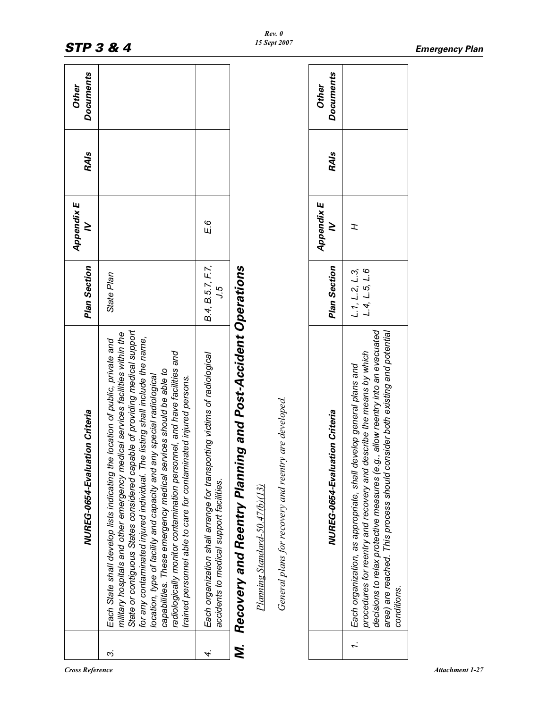|    | NUREG-0654-Evaluation Criteria                                                                                                                                                                                                                                                                                                                                                                                                                                                                                                                                                                                          | Plan Section                        | Appendix E<br>≥ | <b>RAIs</b> | <b>Documents</b><br><b>Other</b> |  |
|----|-------------------------------------------------------------------------------------------------------------------------------------------------------------------------------------------------------------------------------------------------------------------------------------------------------------------------------------------------------------------------------------------------------------------------------------------------------------------------------------------------------------------------------------------------------------------------------------------------------------------------|-------------------------------------|-----------------|-------------|----------------------------------|--|
|    | State or contiguous States considered capable of providing medical support<br>military hospitals and other emergency medical services facilities within the<br>for any contaminated injured individual. The listing shall include the name,<br>Each State shall develop lists indicating the location of public, private and<br>radiologically monitor contamination personnel, and have facilities and<br>capabilities. These emergency medical services should be able to<br>location, type of facility and capacity and any special radiological<br>trained personnel able to care for contaminated injured persons. | State Plan                          |                 |             |                                  |  |
|    | Each organization shall arrange for transporting victims of radiological<br>accidents to medical support facilities.                                                                                                                                                                                                                                                                                                                                                                                                                                                                                                    | B.4, B.5.7, F.7,<br>5 r             | E.6             |             |                                  |  |
| N. | ing and Post-Accident Operations<br>Recovery and Reentry Planni                                                                                                                                                                                                                                                                                                                                                                                                                                                                                                                                                         |                                     |                 |             |                                  |  |
|    | General plans for recovery and reentry are developed.<br>Planning Standard-50.47(b)(13)                                                                                                                                                                                                                                                                                                                                                                                                                                                                                                                                 |                                     |                 |             |                                  |  |
|    | NUREG-0654-Evaluation Criteria                                                                                                                                                                                                                                                                                                                                                                                                                                                                                                                                                                                          | Plan Section                        | Appendix E<br>≥ | <b>RAIs</b> | <b>Documents</b><br>Other        |  |
| Ĩ. | decisions to relax protective measures (e.g., allow reentry into an evacuated<br>area) are reached. This process should consider both existing and potential<br>procedures for reentry and recovery and describe the means by which<br>Each organization, as appropriate, shall develop general plans and<br>conditions.                                                                                                                                                                                                                                                                                                | $L.1, L.2, L.3,$<br>$L.4, L.5, L.6$ | I               |             |                                  |  |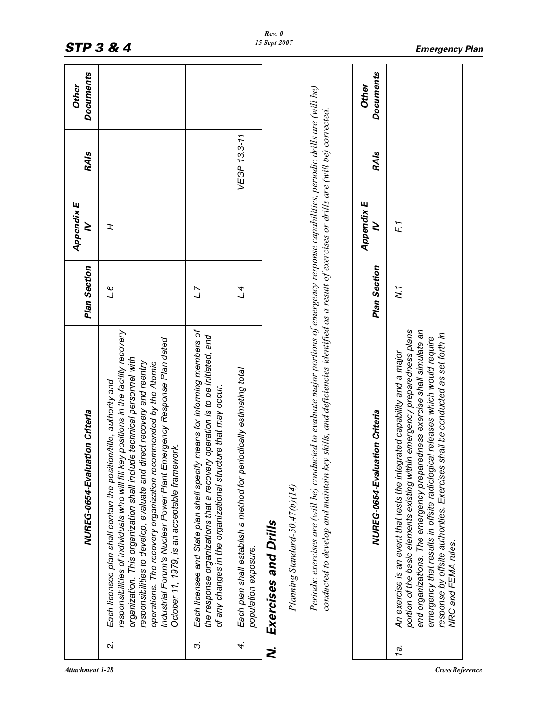|        | NUREG-0654-Evaluation Criteria                                                                                                                                                                                                                                                                                                                                                                                                                                                                            | <b>Plan Section</b> | Appendix E<br>≥ | <b>RAIs</b>  | <b>Documents</b><br>Other |
|--------|-----------------------------------------------------------------------------------------------------------------------------------------------------------------------------------------------------------------------------------------------------------------------------------------------------------------------------------------------------------------------------------------------------------------------------------------------------------------------------------------------------------|---------------------|-----------------|--------------|---------------------------|
| $\sim$ | responsibilities of individuals who will fill key positions in the facility recovery<br>Industrial Forum's Nuclear Power Plant Emergency Response Plan dated<br>organization. This organization shall include technical personnel with<br>responsibilities to develop, evaluate and direct recovery and reentry<br>operations. The recovery organization recommended by the Atomic<br>Each licensee plan shall contain the position/title, authority and<br>October 11, 1979, is an acceptable framework. | 9 T                 | I               |              |                           |
| ကဲ     | means for informing members of<br>the response organizations that a recovery operation is to be initiated, and<br>of any changes in the organizational structure that may occur.<br>Each licensee and State plan shall specify                                                                                                                                                                                                                                                                            | 7.7                 |                 |              |                           |
|        | Each plan shall establish a method for periodically estimating total<br>population exposure.<br>4.                                                                                                                                                                                                                                                                                                                                                                                                        | ل<br>سا             |                 | VEGP 13.3-11 |                           |
| N.     | Exercises and Drills                                                                                                                                                                                                                                                                                                                                                                                                                                                                                      |                     |                 |              |                           |
|        | Plaming Standard-50.47(b)(14)                                                                                                                                                                                                                                                                                                                                                                                                                                                                             |                     |                 |              |                           |
|        | Periodic exercises are (will be) conducted to evaluate major portions of emergency response capabilities, periodic drills are (will be)<br>conducted to develop and maintain key skills, and deficiencies identified as a result of exercises or drills are (will be) corrected.                                                                                                                                                                                                                          |                     |                 |              |                           |
|        | NUREG-0654-Evaluation Criteria                                                                                                                                                                                                                                                                                                                                                                                                                                                                            | <b>Plan Section</b> | Appendix E<br>≥ | <b>RAIs</b>  | <b>Documents</b><br>Other |
| 1a.    | portion of the basic elements existing within emergency preparedness plans<br>and organizations. The emergency preparedness exercise shall simulate an<br>response by offsite authorities. Exercises shall be conducted as set forth in<br>emergency that results in offsite radiological releases which would require<br>An exercise is an event that tests the integrated capability and a major<br>NRC and FEMA rules.                                                                                 | N.7                 | F1              |              |                           |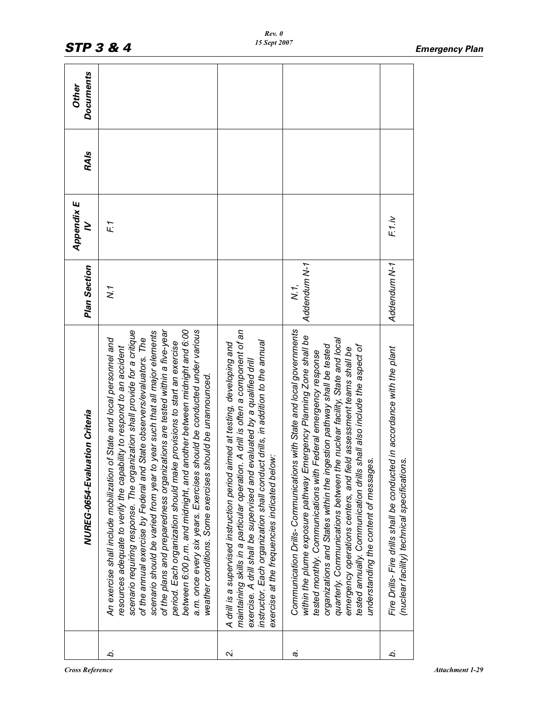|              | NUREG-0654-Evaluation Criteria                                                                                                                                                                                                                                                                                                                                                                                                                                                                                                                                                                                                                                                                                                                                  | <b>Plan Section</b>  | Appendix E<br>≥ | <b>RAIs</b> | <b>Documents</b><br>Other |
|--------------|-----------------------------------------------------------------------------------------------------------------------------------------------------------------------------------------------------------------------------------------------------------------------------------------------------------------------------------------------------------------------------------------------------------------------------------------------------------------------------------------------------------------------------------------------------------------------------------------------------------------------------------------------------------------------------------------------------------------------------------------------------------------|----------------------|-----------------|-------------|---------------------------|
| b.           | of the plans and preparedness organizations are tested within a five-year<br>between 6:00 p.m. and midnight, and another between midnight and 6:00<br>a.m. once every six years. Exercises should be conducted under various<br>scenario requiring response. The organization shall provide for a critique<br>year such that all major elements<br>of the annual exercise by Federal and State observers/evaluators. The<br>An exercise shall include mobilization of State and local personnel and<br>provisions to start an exercise<br>resources adequate to verify the capability to respond to an accident<br>weather conditions. Some exercises should be unannounced.<br>period. Each organization should make<br>scenario should be varied from year to | $\tilde{N}$ .        | F1              |             |                           |
| $\mathbf{a}$ | A drill is often a component of an<br>instructor. Each organization shall conduct drills, in addition to the annual<br>A drill is a supervised instruction period aimed at testing, developing and<br>aluated by a qualified drill<br>exercise at the frequencies indicated below:<br>maintaining skills in a particular operation.<br>exercise. A drill shall be supervised and ev                                                                                                                                                                                                                                                                                                                                                                             |                      |                 |             |                           |
| c,           | Communication Drills-Communications with State and local governments<br>within the plume exposure pathway Emergency Planning Zone shall be<br>quarterly. Communications between the nuclear facility, State and local<br>organizations and States within the ingestion pathway shall be tested<br>tested annually. Communication drills shall also include the aspect of<br>d assessment teams shall be<br>tested monthly. Communications with Federal emergency response<br>understanding the content of messages.<br>emergency operations centers, and fiel                                                                                                                                                                                                   | Addendum N-1<br>N.1. |                 |             |                           |
| b.           | Fire Drills- Fire drills shall be conducted in accordance with the plant<br>(nuclear facility) technical specifications.                                                                                                                                                                                                                                                                                                                                                                                                                                                                                                                                                                                                                                        | Addendum N-1         | F1.iv           |             |                           |
|              |                                                                                                                                                                                                                                                                                                                                                                                                                                                                                                                                                                                                                                                                                                                                                                 |                      |                 |             |                           |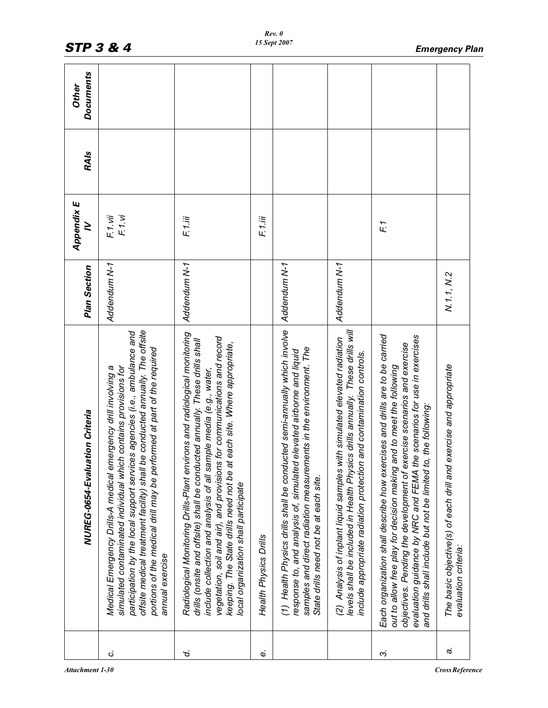|    | NUREG-0654-Evaluation Criteria                                                                                                                                                                                                                                                                                                                                                                                                | <b>Plan Section</b> | Appendix E<br>≥  | <b>RAIs</b> | <b>Documents</b><br><b>Other</b> |
|----|-------------------------------------------------------------------------------------------------------------------------------------------------------------------------------------------------------------------------------------------------------------------------------------------------------------------------------------------------------------------------------------------------------------------------------|---------------------|------------------|-------------|----------------------------------|
| c, | offsite medical treatment facility) shall be conducted annually. The offsite<br>participation by the local support services agencies (i.e., ambulance and<br>portions of the medical drill may be performed at part of the required<br>simulated contaminated individual which contains provisions for<br>nergency drill involving a<br>Medical Emergency Drills-A medical en<br>annual exercise                              | Addendum N-1        | F1.vi<br>F.1.vii |             |                                  |
| ρ. | Radiological Monitoring Drills-Plant environs and radiological monitoring<br>vegetation, soil and air), and provisions for communications and record<br>drills (onsite and offsite) shall be conducted annually. These drills shall<br>each site. Where appropriate,<br>include collection and analysis of all sample media (e.g., water,<br>keeping. The State drills need not be at<br>local organization shall participate | Addendum N-1        | F1.ii            |             |                                  |
| ώ  | Health Physics Drills                                                                                                                                                                                                                                                                                                                                                                                                         |                     | F.1.iii          |             |                                  |
|    | (1) Health Physics drills shall be conducted semi-annually which involve<br>rents in the environment. The<br>elevated airborne and liquid<br>response to, and analysis of, simulated<br>samples and direct radiation measurem<br>State drills need not be at each site.                                                                                                                                                       | Addendum N-1        |                  |             |                                  |
|    | levels shall be included in Health Physics drills annually. These drills will<br>(2) Analysis of inplant liquid samples with simulated elevated radiation<br>and contamination controls.<br>include appropriate radiation protection                                                                                                                                                                                          | Addendum N-1        |                  |             |                                  |
| 2  | Each organization shall describe how exercises and drills are to be carried<br>evaluation guidance by NRC and FEMA the scenarios for use in exercises<br>objectives. Pending the development of exercise scenarios and exercise<br>out to allow free play for decision making and to meet the following<br>and drills shall include but not be limited to, the following:                                                     |                     | F1               |             |                                  |
| c. | exercise and appropriate<br>The basic objective(s) of each drill and<br>evaluation criteria:                                                                                                                                                                                                                                                                                                                                  | N.1.1, N.2          |                  |             |                                  |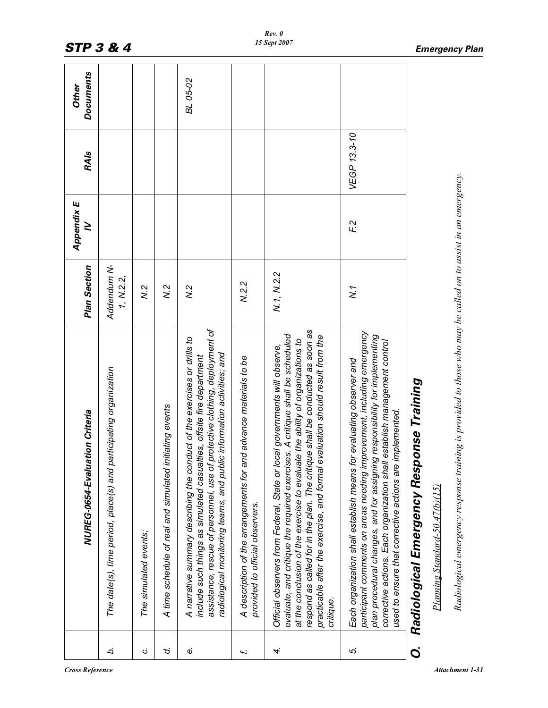|        | NUREG-0654-Evaluation Criteria                                                                                                                                                                                                                                                                                                                                                                                              | <b>Plan Section</b>      | Appendix E<br>$\geq$ | <b>RAIs</b>  | <b>Documents</b><br>Other |
|--------|-----------------------------------------------------------------------------------------------------------------------------------------------------------------------------------------------------------------------------------------------------------------------------------------------------------------------------------------------------------------------------------------------------------------------------|--------------------------|----------------------|--------------|---------------------------|
| Ċ.     | participating organization<br>The date(s), time period, place(s) and                                                                                                                                                                                                                                                                                                                                                        | Addendum N-<br>1, N.2.2, |                      |              |                           |
| Ġ      | The simulated events;                                                                                                                                                                                                                                                                                                                                                                                                       | N.2                      |                      |              |                           |
| ن<br>ح | initiating events<br>A time schedule of real and simulated                                                                                                                                                                                                                                                                                                                                                                  | x <sub>2</sub>           |                      |              |                           |
| Φ      | assistance, rescue of personnel, use of protective clothing, deployment of<br>A narrative summary describing the conduct of the exercises or drills to<br>radiological monitoring teams, and public information activities; and<br>include such things as simulated casualties, offsite fire department                                                                                                                     | $\tilde{\kappa}$         |                      |              | BL 05-02                  |
| ť.     | A description of the arrangements for and advance materials to be<br>provided to official observers.                                                                                                                                                                                                                                                                                                                        | N.2.2                    |                      |              |                           |
| 4.     | respond as called for in the plan. The critique shall be conducted as soon as<br>evaluate, and critique the required exercises. A critique shall be scheduled<br>evaluation should result from the<br>at the conclusion of the exercise to evaluate the ability of organizations to<br>Official observers from Federal, State or local governments will observe,<br>practicable after the exercise, and formal<br>critique. | N.1, N.2.2               |                      |              |                           |
| ιo,    | participant comments on areas needing improvement, including emergency<br>plan procedural changes, and for assigning responsibility for implementing<br>corrective actions. Each organization shall establish management control<br>Each organization shall establish means for evaluating observer and<br>used to ensure that corrective actions are implemented.                                                          | Z.                       | F <sub>2</sub>       | VEGP 13.3-10 |                           |
| Ö      | Radiological Emergency Response Training                                                                                                                                                                                                                                                                                                                                                                                    |                          |                      |              |                           |
|        | Planning Standard-50.47(b)(15)                                                                                                                                                                                                                                                                                                                                                                                              |                          |                      |              |                           |
|        | Radiological emergency response training is provided to those who may be called on to assist in an emergency.                                                                                                                                                                                                                                                                                                               |                          |                      |              |                           |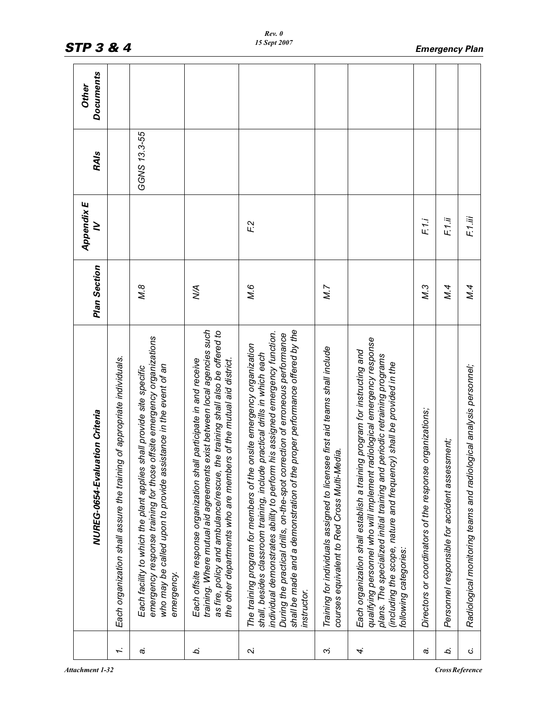|                | NUREG-0654-Evaluation Criteria                                                                                                                                                                                                                                                                                                                                                                                    | <b>Plan Section</b> | Appendix E<br>≥ | <b>RAIs</b>  | <b>Documents</b><br>Other |
|----------------|-------------------------------------------------------------------------------------------------------------------------------------------------------------------------------------------------------------------------------------------------------------------------------------------------------------------------------------------------------------------------------------------------------------------|---------------------|-----------------|--------------|---------------------------|
| $\overline{ }$ | Each organization shall assure the training of appropriate individuals.                                                                                                                                                                                                                                                                                                                                           |                     |                 |              |                           |
| c,             | offsite emergency organizations<br>istance in the event of an<br>Each facility to which the plant applies shall provide site specific<br>who may be called upon to provide assi<br>emergency response training for those<br>emergency.                                                                                                                                                                            | N.8                 |                 | GGNS 13.3-55 |                           |
| b.             | training. Where mutual aid agreements exist between local agencies such<br>as fire, policy and ambulance/rescue, the training shall also be offered to<br>Each offsite response organization shall participate in and receive<br>the other departments who are members of the mutual aid district.                                                                                                                | ≸                   |                 |              |                           |
| $\sim$         | shall be made and a demonstration of the proper performance offered by the<br>individual demonstrates ability to perform his assigned emergency function.<br>During the practical drills, on-the-spot correction of erroneous performance<br>The training program for members of the onsite emergency organization<br>practical drills in which each<br>shall, besides classroom training, include<br>instructor. | М.6                 | F <sub>2</sub>  |              |                           |
| $\sim$         | Training for individuals assigned to licensee first aid teams shall include<br>courses equivalent to Red Cross Multi-Media.                                                                                                                                                                                                                                                                                       | N.7                 |                 |              |                           |
| 4.             | qualifying personnel who will implement radiological emergency response<br>Each organization shall establish a training program for instructing and<br>plans. The specialized initial training and periodic retraining programs<br>(including the scope, nature and frequency) shall be provided in the<br>following categories:                                                                                  |                     |                 |              |                           |
| a.             | organizations;<br>Directors or coordinators of the response                                                                                                                                                                                                                                                                                                                                                       | М.3                 | F1.i            |              |                           |
| b.             | Personnel responsible for accident assessment;                                                                                                                                                                                                                                                                                                                                                                    | M.4                 | F1.ii           |              |                           |
| ن              | Radiological monitoring teams and radiological analysis personnel;                                                                                                                                                                                                                                                                                                                                                | M.4                 | F1.iii          |              |                           |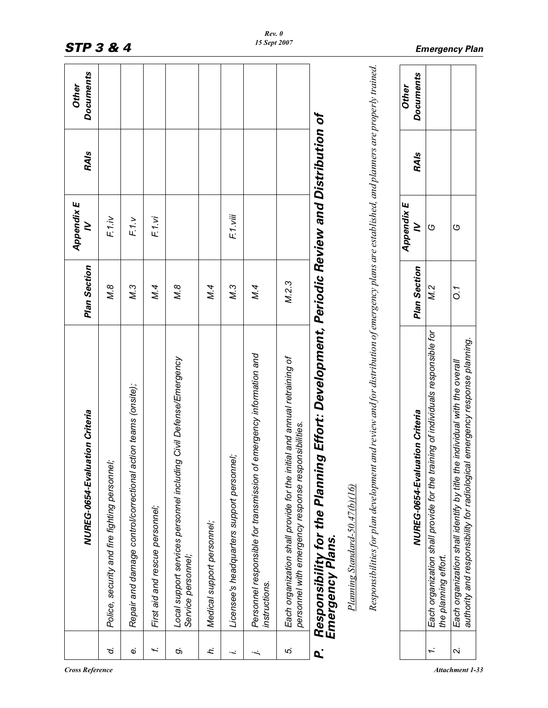|                | NUREG-0654-Evaluation Criteria                                                                                                                                | Plan Section     | <b>Appendix E</b><br>≥ | <b>RAIs</b> | <b>Documents</b><br><b>Other</b> |
|----------------|---------------------------------------------------------------------------------------------------------------------------------------------------------------|------------------|------------------------|-------------|----------------------------------|
| ď.             | Police, security and fire fighting personnel;                                                                                                                 | Ν.8              | F.1.iv                 |             |                                  |
| $\dot{\omega}$ | Repair and damage control/correctional action teams (onsite);                                                                                                 | М.3              | F1.v                   |             |                                  |
| f.             | First aid and rescue personnel;                                                                                                                               | M.4              | F1.vi                  |             |                                  |
| Ó,             | Civil Defense/Emergency<br>Local support services personnel including<br>Service personnel;                                                                   | $M.\overline{8}$ |                        |             |                                  |
| h.             | Medical support personnel;                                                                                                                                    | M.4              |                        |             |                                  |
| j,             | Licensee's headquarters support personnel;                                                                                                                    | $M.\overline{3}$ | F.1.viii               |             |                                  |
| $\ddot{}$      | Personnel responsible for transmission of emergency information and<br>instructions.                                                                          | M.4              |                        |             |                                  |
| ΙÓ.            | Each organization shall provide for the initial and annual retraining of<br>personnel with emergency response responsibilities.                               | M.2.3            |                        |             |                                  |
| $\mathbf{a}$   | Responsibility for the Planning Effort: Development, Periodic Review and Distribution of<br>Emergency Plans.                                                  |                  |                        |             |                                  |
|                | Planning Standard-50.47(b)(16)                                                                                                                                |                  |                        |             |                                  |
|                | Responsibilities for plan development and review and for distribution of emergency plans are established, and planners are properly trained.                  |                  |                        |             |                                  |
|                | NUREG-0654-Evaluation Criteria                                                                                                                                | Plan Section     | Appendix E<br>≥        | <b>RAIs</b> | <b>Documents</b><br><b>Other</b> |
| r.             | Each organization shall provide for the training of individuals responsible for<br>the planning effort.                                                       | N.2              | O                      |             |                                  |
| $\sim$         | emergency response planning.<br>individual with the overall<br>authority and responsibility for radiological<br>Each organization shall identify by title the | $\overline{O}$ . | O                      |             |                                  |